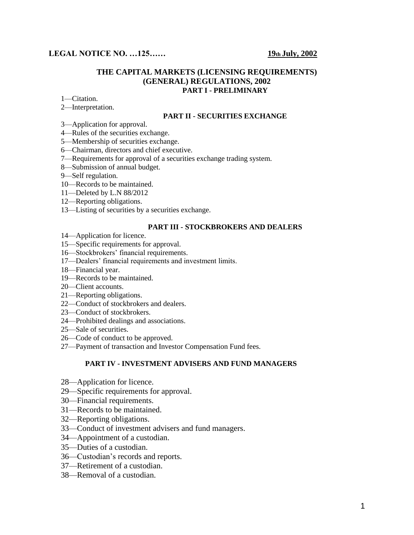# **LEGAL NOTICE NO.** ...125...... 19**th July, 2002**

## **THE CAPITAL MARKETS (LICENSING REQUIREMENTS) (GENERAL) REGULATIONS, 2002 PART I - PRELIMINARY**

- 1—Citation.
- 2—Interpretation.

#### **PART II - SECURITIES EXCHANGE**

- 3—Application for approval.
- 4—Rules of the securities exchange.
- 5—Membership of securities exchange.
- 6—Chairman, directors and chief executive.
- 7—Requirements for approval of a securities exchange trading system.
- 8—Submission of annual budget.
- 9—Self regulation.
- 10—Records to be maintained.
- 11—Deleted by L.N 88/2012
- 12—Reporting obligations.
- 13—Listing of securities by a securities exchange.

#### **PART III - STOCKBROKERS AND DEALERS**

- 14—Application for licence.
- 15—Specific requirements for approval.
- 16—Stockbrokers' financial requirements.
- 17—Dealers' financial requirements and investment limits.
- 18—Financial year.
- 19—Records to be maintained.
- 20—Client accounts.
- 21—Reporting obligations.
- 22—Conduct of stockbrokers and dealers.
- 23—Conduct of stockbrokers.
- 24—Prohibited dealings and associations.
- 25—Sale of securities.
- 26—Code of conduct to be approved.
- 27—Payment of transaction and Investor Compensation Fund fees.

#### **PART IV - INVESTMENT ADVISERS AND FUND MANAGERS**

- 28—Application for licence.
- 29—Specific requirements for approval.
- 30—Financial requirements.
- 31—Records to be maintained.
- 32—Reporting obligations.
- 33—Conduct of investment advisers and fund managers.
- 34—Appointment of a custodian.
- 35—Duties of a custodian.
- 36—Custodian's records and reports.
- 37—Retirement of a custodian.
- 38—Removal of a custodian.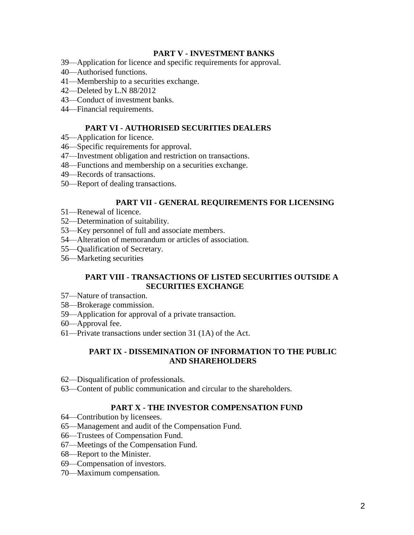# **PART V - INVESTMENT BANKS**

- 39—Application for licence and specific requirements for approval.
- 40—Authorised functions.
- 41—Membership to a securities exchange.
- 42—Deleted by L.N 88/2012
- 43—Conduct of investment banks.
- 44—Financial requirements.

# **PART VI - AUTHORISED SECURITIES DEALERS**

- 45—Application for licence.
- 46—Specific requirements for approval.
- 47—Investment obligation and restriction on transactions.
- 48—Functions and membership on a securities exchange.
- 49—Records of transactions.
- 50—Report of dealing transactions.

# **PART VII - GENERAL REQUIREMENTS FOR LICENSING**

- 51—Renewal of licence.
- 52—Determination of suitability.
- 53—Key personnel of full and associate members.
- 54—Alteration of memorandum or articles of association.
- 55—Qualification of Secretary.
- 56—Marketing securities

## **PART VIII - TRANSACTIONS OF LISTED SECURITIES OUTSIDE A SECURITIES EXCHANGE**

- 57—Nature of transaction.
- 58—Brokerage commission.
- 59—Application for approval of a private transaction.
- 60—Approval fee.
- 61—Private transactions under section 31 (1A) of the Act.

# **PART IX - DISSEMINATION OF INFORMATION TO THE PUBLIC AND SHAREHOLDERS**

- 62—Disqualification of professionals.
- 63—Content of public communication and circular to the shareholders.

# **PART X - THE INVESTOR COMPENSATION FUND**

- 64—Contribution by licensees.
- 65—Management and audit of the Compensation Fund.
- 66—Trustees of Compensation Fund.
- 67—Meetings of the Compensation Fund.
- 68—Report to the Minister.
- 69—Compensation of investors.
- 70—Maximum compensation.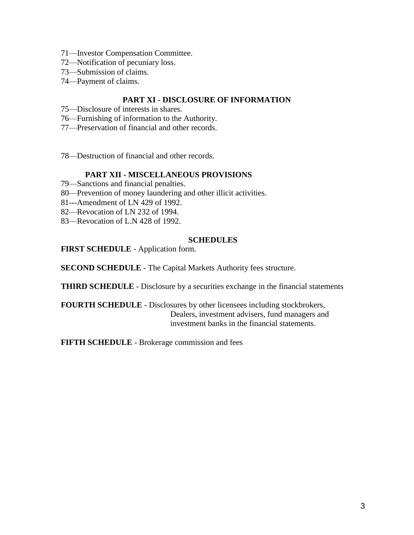- 71—Investor Compensation Committee.
- 72—Notification of pecuniary loss.
- 73—Submission of claims.
- 74—Payment of claims.

# **PART XI - DISCLOSURE OF INFORMATION**

- 75—Disclosure of interests in shares.
- 76—Furnishing of information to the Authority.
- 77—Preservation of financial and other records.
- 78—Destruction of financial and other records.

## **PART XII - MISCELLANEOUS PROVISIONS**

- 79—Sanctions and financial penalties.
- 80—Prevention of money laundering and other illicit activities.
- 81---Amendment of LN 429 of 1992.
- 82—Revocation of LN 232 of 1994.
- 83—Revocation of L.N 428 of 1992.

#### **SCHEDULES**

**FIRST SCHEDULE** - Application form.

**SECOND SCHEDULE** - The Capital Markets Authority fees structure.

**THIRD SCHEDULE** - Disclosure by a securities exchange in the financial statements

**FOURTH SCHEDULE** - Disclosures by other licensees including stockbrokers, Dealers, investment advisers, fund managers and investment banks in the financial statements.

**FIFTH SCHEDULE** - Brokerage commission and fees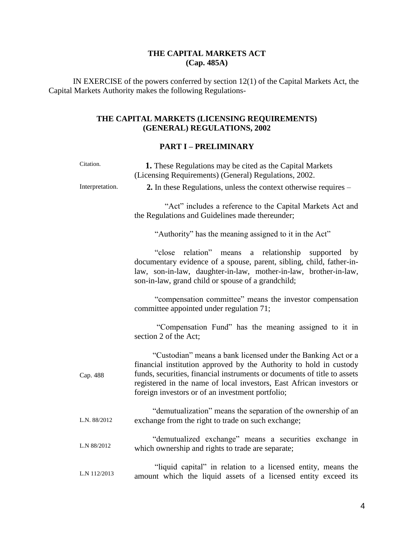# **THE CAPITAL MARKETS ACT (Cap. 485A)**

IN EXERCISE of the powers conferred by section 12(1) of the Capital Markets Act, the Capital Markets Authority makes the following Regulations-

# **THE CAPITAL MARKETS (LICENSING REQUIREMENTS) (GENERAL) REGULATIONS, 2002**

# **PART I – PRELIMINARY**

| Citation.       | 1. These Regulations may be cited as the Capital Markets<br>(Licensing Requirements) (General) Regulations, 2002.                                                                                                                                                                                                                          |
|-----------------|--------------------------------------------------------------------------------------------------------------------------------------------------------------------------------------------------------------------------------------------------------------------------------------------------------------------------------------------|
| Interpretation. | 2. In these Regulations, unless the context otherwise requires –                                                                                                                                                                                                                                                                           |
|                 | "Act" includes a reference to the Capital Markets Act and<br>the Regulations and Guidelines made thereunder;                                                                                                                                                                                                                               |
|                 | "Authority" has the meaning assigned to it in the Act"                                                                                                                                                                                                                                                                                     |
|                 | relation"<br>a relationship<br>"close<br>means<br>supported<br>by<br>documentary evidence of a spouse, parent, sibling, child, father-in-<br>law, son-in-law, daughter-in-law, mother-in-law, brother-in-law,<br>son-in-law, grand child or spouse of a grandchild;                                                                        |
|                 | "compensation committee" means the investor compensation<br>committee appointed under regulation 71;                                                                                                                                                                                                                                       |
|                 | "Compensation Fund" has the meaning assigned to it in<br>section 2 of the Act;                                                                                                                                                                                                                                                             |
| Cap. 488        | "Custodian" means a bank licensed under the Banking Act or a<br>financial institution approved by the Authority to hold in custody<br>funds, securities, financial instruments or documents of title to assets<br>registered in the name of local investors, East African investors or<br>foreign investors or of an investment portfolio; |
| L.N. 88/2012    | "demutualization" means the separation of the ownership of an<br>exchange from the right to trade on such exchange;                                                                                                                                                                                                                        |
| L.N 88/2012     | "demutualized exchange" means a securities exchange in<br>which ownership and rights to trade are separate;                                                                                                                                                                                                                                |
| L.N 112/2013    | "liquid capital" in relation to a licensed entity, means the<br>amount which the liquid assets of a licensed entity exceed its                                                                                                                                                                                                             |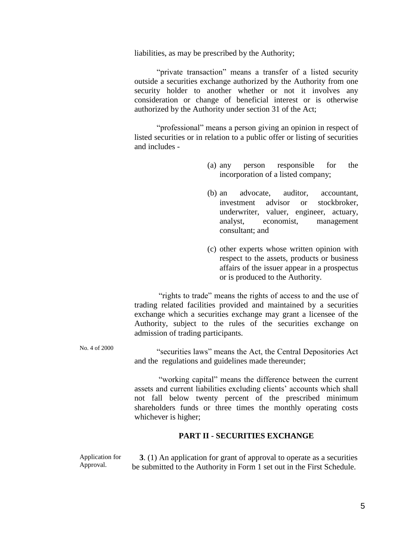liabilities, as may be prescribed by the Authority;

 "private transaction" means a transfer of a listed security outside a securities exchange authorized by the Authority from one security holder to another whether or not it involves any consideration or change of beneficial interest or is otherwise authorized by the Authority under section 31 of the Act;

 "professional" means a person giving an opinion in respect of listed securities or in relation to a public offer or listing of securities and includes -

- (a) any person responsible for the incorporation of a listed company;
- (b) an advocate, auditor, accountant, investment advisor or stockbroker, underwriter, valuer, engineer, actuary, analyst, economist, management consultant; and
- (c) other experts whose written opinion with respect to the assets, products or business affairs of the issuer appear in a prospectus or is produced to the Authority.

"rights to trade" means the rights of access to and the use of trading related facilities provided and maintained by a securities exchange which a securities exchange may grant a licensee of the Authority, subject to the rules of the securities exchange on admission of trading participants.

No. 4 of 2000 "securities laws" means the Act, the Central Depositories Act and the regulations and guidelines made thereunder;

> "working capital" means the difference between the current assets and current liabilities excluding clients' accounts which shall not fall below twenty percent of the prescribed minimum shareholders funds or three times the monthly operating costs whichever is higher;

#### **PART II - SECURITIES EXCHANGE**

Application for Approval. **3**. (1) An application for grant of approval to operate as a securities be submitted to the Authority in Form 1 set out in the First Schedule.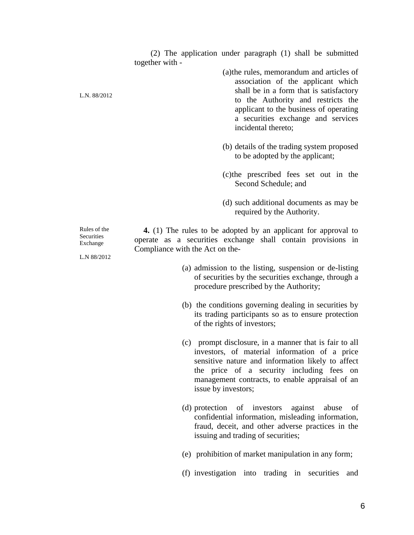(2) The application under paragraph (1) shall be submitted together with -

> (a)the rules, memorandum and articles of association of the applicant which shall be in a form that is satisfactory to the Authority and restricts the applicant to the business of operating a securities exchange and services incidental thereto;

- (b) details of the trading system proposed to be adopted by the applicant;
- (c)the prescribed fees set out in the Second Schedule; and
- (d) such additional documents as may be required by the Authority.

 **4.** (1) The rules to be adopted by an applicant for approval to operate as a securities exchange shall contain provisions in Compliance with the Act on the-

- (a) admission to the listing, suspension or de-listing of securities by the securities exchange, through a procedure prescribed by the Authority;
- (b) the conditions governing dealing in securities by its trading participants so as to ensure protection of the rights of investors;
- (c) prompt disclosure, in a manner that is fair to all investors, of material information of a price sensitive nature and information likely to affect the price of a security including fees on management contracts, to enable appraisal of an issue by investors;
- (d) protection of investors against abuse of confidential information, misleading information, fraud, deceit, and other adverse practices in the issuing and trading of securities;
- (e) prohibition of market manipulation in any form;
- (f) investigation into trading in securities and

Rules of the **Securities** Exchange

L.N. 88/2012

L.N 88/2012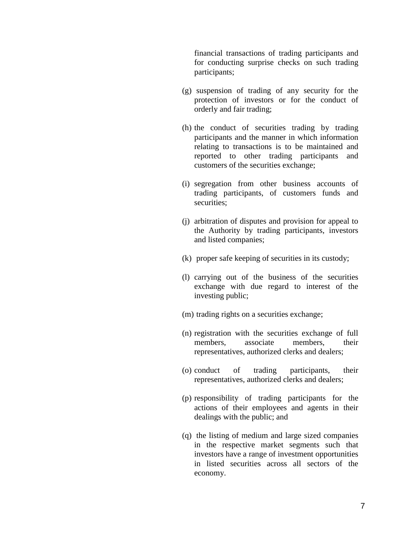financial transactions of trading participants and for conducting surprise checks on such trading participants;

- (g) suspension of trading of any security for the protection of investors or for the conduct of orderly and fair trading;
- (h) the conduct of securities trading by trading participants and the manner in which information relating to transactions is to be maintained and reported to other trading participants and customers of the securities exchange;
- (i) segregation from other business accounts of trading participants, of customers funds and securities;
- (j) arbitration of disputes and provision for appeal to the Authority by trading participants, investors and listed companies;
- (k) proper safe keeping of securities in its custody;
- (l) carrying out of the business of the securities exchange with due regard to interest of the investing public;
- (m) trading rights on a securities exchange;
- (n) registration with the securities exchange of full members, associate members, their representatives, authorized clerks and dealers;
- (o) conduct of trading participants, their representatives, authorized clerks and dealers;
- (p) responsibility of trading participants for the actions of their employees and agents in their dealings with the public; and
- (q) the listing of medium and large sized companies in the respective market segments such that investors have a range of investment opportunities in listed securities across all sectors of the economy.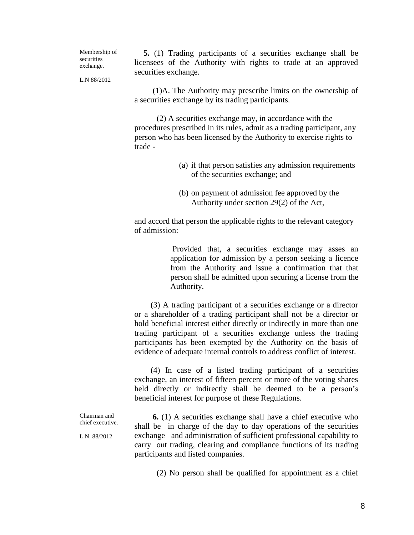Membership of securities exchange.

 **5.** (1) Trading participants of a securities exchange shall be licensees of the Authority with rights to trade at an approved securities exchange.

L.N 88/2012

 (1)A. The Authority may prescribe limits on the ownership of a securities exchange by its trading participants.

 (2) A securities exchange may, in accordance with the procedures prescribed in its rules, admit as a trading participant, any person who has been licensed by the Authority to exercise rights to trade -

- (a) if that person satisfies any admission requirements of the securities exchange; and
- (b) on payment of admission fee approved by the Authority under section 29(2) of the Act,

and accord that person the applicable rights to the relevant category of admission:

> Provided that, a securities exchange may asses an application for admission by a person seeking a licence from the Authority and issue a confirmation that that person shall be admitted upon securing a license from the Authority.

 (3) A trading participant of a securities exchange or a director or a shareholder of a trading participant shall not be a director or hold beneficial interest either directly or indirectly in more than one trading participant of a securities exchange unless the trading participants has been exempted by the Authority on the basis of evidence of adequate internal controls to address conflict of interest.

 (4) In case of a listed trading participant of a securities exchange, an interest of fifteen percent or more of the voting shares held directly or indirectly shall be deemed to be a person's beneficial interest for purpose of these Regulations.

Chairman and chief executive.

L.N. 88/2012

 **6.** (1) A securities exchange shall have a chief executive who shall be in charge of the day to day operations of the securities exchange and administration of sufficient professional capability to carry out trading, clearing and compliance functions of its trading participants and listed companies.

(2) No person shall be qualified for appointment as a chief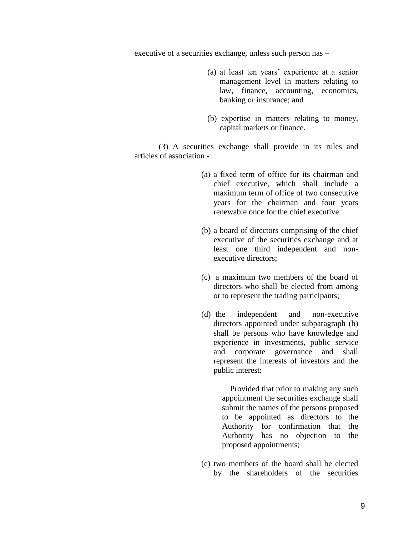executive of a securities exchange, unless such person has –

- (a) at least ten years' experience at a senior management level in matters relating to law, finance, accounting, economics, banking or insurance; and
- (b) expertise in matters relating to money, capital markets or finance.

 (3) A securities exchange shall provide in its rules and articles of association -

- (a) a fixed term of office for its chairman and chief executive, which shall include a maximum term of office of two consecutive years for the chairman and four years renewable once for the chief executive.
- (b) a board of directors comprising of the chief executive of the securities exchange and at least one third independent and nonexecutive directors;
- (c) a maximum two members of the board of directors who shall be elected from among or to represent the trading participants;
- (d) the independent and non-executive directors appointed under subparagraph (b) shall be persons who have knowledge and experience in investments, public service and corporate governance and shall represent the interests of investors and the public interest:

 Provided that prior to making any such appointment the securities exchange shall submit the names of the persons proposed to be appointed as directors to the Authority for confirmation that the Authority has no objection to the proposed appointments;

(e) two members of the board shall be elected by the shareholders of the securities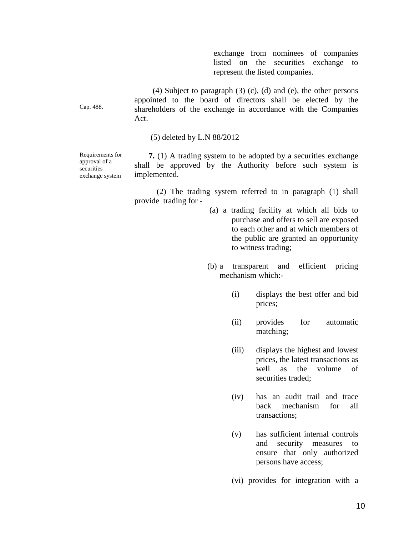exchange from nominees of companies listed on the securities exchange to represent the listed companies.

 (4) Subject to paragraph (3) (c), (d) and (e), the other persons appointed to the board of directors shall be elected by the shareholders of the exchange in accordance with the Companies Act.

(5) deleted by L.N 88/2012

Requirements for approval of a securities exchange system

Cap. 488.

 **7.** (1) A trading system to be adopted by a securities exchange shall be approved by the Authority before such system is implemented.

 (2) The trading system referred to in paragraph (1) shall provide trading for -

- (a) a trading facility at which all bids to purchase and offers to sell are exposed to each other and at which members of the public are granted an opportunity to witness trading;
- (b) a transparent and efficient pricing mechanism which:-
	- (i) displays the best offer and bid prices;
	- (ii) provides for automatic matching;
	- (iii) displays the highest and lowest prices, the latest transactions as well as the volume of securities traded:
	- (iv) has an audit trail and trace back mechanism for all transactions;
	- (v) has sufficient internal controls and security measures to ensure that only authorized persons have access;
	- (vi) provides for integration with a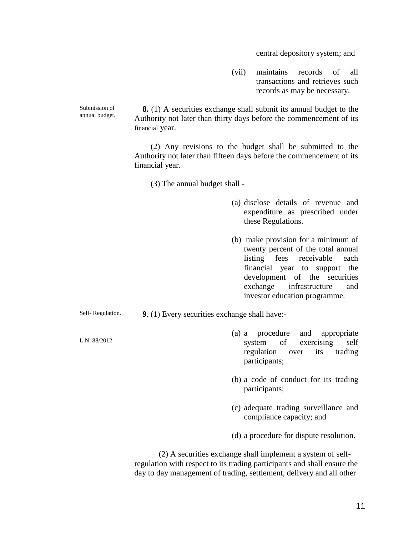central depository system; and

(vii) maintains records of all transactions and retrieves such records as may be necessary.

Submission of  **8.** (1) A securities exchange shall submit its annual budget to the Authority not later than thirty days before the commencement of its financial year.

> (2) Any revisions to the budget shall be submitted to the Authority not later than fifteen days before the commencement of its financial year.

(3) The annual budget shall -

- (a) disclose details of revenue and expenditure as prescribed under these Regulations.
- (b) make provision for a minimum of twenty percent of the total annual listing fees receivable each financial year to support the development of the securities exchange infrastructure and investor education programme.

Self- Regulation. **9**. (1) Every securities exchange shall have:-

- (a) a procedure and appropriate system of exercising self regulation over its trading participants;
	- (b) a code of conduct for its trading participants;
	- (c) adequate trading surveillance and compliance capacity; and
	- (d) a procedure for dispute resolution.

 (2) A securities exchange shall implement a system of selfregulation with respect to its trading participants and shall ensure the day to day management of trading, settlement, delivery and all other

annual budget.

L.N. 88/2012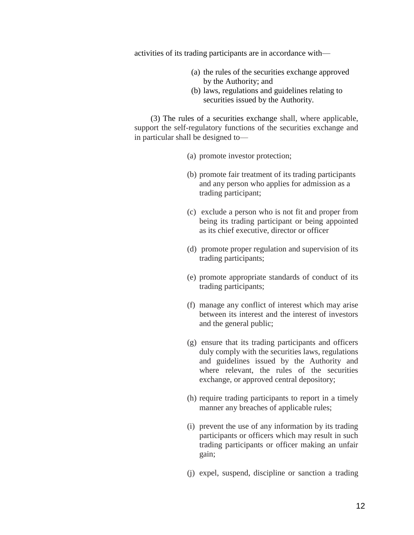activities of its trading participants are in accordance with—

- (a) the rules of the securities exchange approved by the Authority; and
- (b) laws, regulations and guidelines relating to securities issued by the Authority.

 (3) The rules of a securities exchange shall, where applicable, support the self-regulatory functions of the securities exchange and in particular shall be designed to—

- (a) promote investor protection;
- (b) promote fair treatment of its trading participants and any person who applies for admission as a trading participant;
- (c) exclude a person who is not fit and proper from being its trading participant or being appointed as its chief executive, director or officer
- (d) promote proper regulation and supervision of its trading participants;
- (e) promote appropriate standards of conduct of its trading participants;
- (f) manage any conflict of interest which may arise between its interest and the interest of investors and the general public;
- (g) ensure that its trading participants and officers duly comply with the securities laws, regulations and guidelines issued by the Authority and where relevant, the rules of the securities exchange, or approved central depository;
- (h) require trading participants to report in a timely manner any breaches of applicable rules;
- (i) prevent the use of any information by its trading participants or officers which may result in such trading participants or officer making an unfair gain;
- (j) expel, suspend, discipline or sanction a trading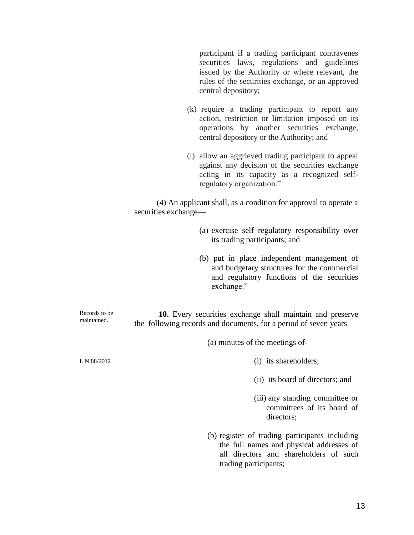participant if a trading participant contravenes securities laws, regulations and guidelines issued by the Authority or where relevant, the rules of the securities exchange, or an approved central depository;

- (k) require a trading participant to report any action, restriction or limitation imposed on its operations by another securities exchange, central depository or the Authority; and
- (l) allow an aggrieved trading participant to appeal against any decision of the securities exchange acting in its capacity as a recognized selfregulatory organization."

 (4) An applicant shall, as a condition for approval to operate a securities exchange—

- (a) exercise self regulatory responsibility over its trading participants; and
- (b) put in place independent management of and budgetary structures for the commercial and regulatory functions of the securities exchange."

Records to be maintained. **10.** Every securities exchange shall maintain and preserve the following records and documents, for a period of seven years –

(a) minutes of the meetings of-

- (i) its shareholders;
- (ii) its board of directors; and
- (iii) any standing committee or committees of its board of directors;
- (b) register of trading participants including the full names and physical addresses of all directors and shareholders of such trading participants;

L.N 88/2012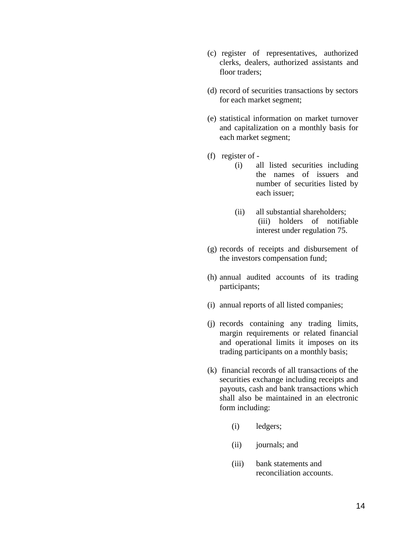- (c) register of representatives, authorized clerks, dealers, authorized assistants and floor traders;
- (d) record of securities transactions by sectors for each market segment;
- (e) statistical information on market turnover and capitalization on a monthly basis for each market segment;
- (f) register of
	- (i) all listed securities including the names of issuers and number of securities listed by each issuer;
	- (ii) all substantial shareholders; (iii) holders of notifiable interest under regulation 75.
- (g) records of receipts and disbursement of the investors compensation fund;
- (h) annual audited accounts of its trading participants;
- (i) annual reports of all listed companies;
- (j) records containing any trading limits, margin requirements or related financial and operational limits it imposes on its trading participants on a monthly basis;
- (k) financial records of all transactions of the securities exchange including receipts and payouts, cash and bank transactions which shall also be maintained in an electronic form including:
	- (i) ledgers;
	- (ii) journals; and
	- (iii) bank statements and reconciliation accounts.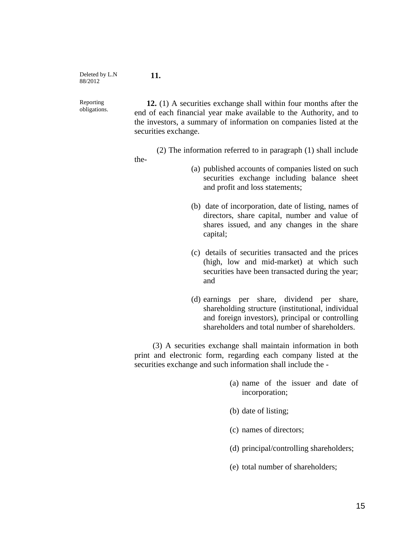Deleted by L.N 88/2012

**11.**

Reporting obligations.

 **12.** (1) A securities exchange shall within four months after the end of each financial year make available to the Authority, and to the investors, a summary of information on companies listed at the securities exchange.

(2) The information referred to in paragraph (1) shall include

the-

- (a) published accounts of companies listed on such securities exchange including balance sheet and profit and loss statements;
- (b) date of incorporation, date of listing, names of directors, share capital, number and value of shares issued, and any changes in the share capital;
- (c) details of securities transacted and the prices (high, low and mid-market) at which such securities have been transacted during the year; and
- (d) earnings per share, dividend per share, shareholding structure (institutional, individual and foreign investors), principal or controlling shareholders and total number of shareholders.

 (3) A securities exchange shall maintain information in both print and electronic form, regarding each company listed at the securities exchange and such information shall include the -

- (a) name of the issuer and date of incorporation;
- (b) date of listing;
- (c) names of directors;
- (d) principal/controlling shareholders;
- (e) total number of shareholders;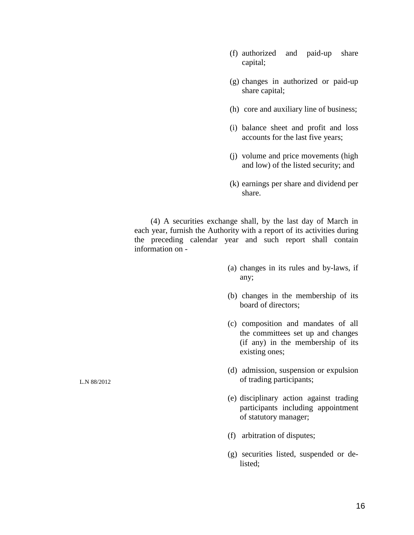- (f) authorized and paid-up share capital;
- (g) changes in authorized or paid-up share capital;
- (h) core and auxiliary line of business;
- (i) balance sheet and profit and loss accounts for the last five years;
- (j) volume and price movements (high and low) of the listed security; and
- (k) earnings per share and dividend per share.

 (4) A securities exchange shall, by the last day of March in each year, furnish the Authority with a report of its activities during the preceding calendar year and such report shall contain information on -

- (a) changes in its rules and by-laws, if any;
- (b) changes in the membership of its board of directors;
- (c) composition and mandates of all the committees set up and changes (if any) in the membership of its existing ones;
- (d) admission, suspension or expulsion of trading participants;
- (e) disciplinary action against trading participants including appointment of statutory manager;
- (f) arbitration of disputes;
- (g) securities listed, suspended or delisted;

L.N 88/2012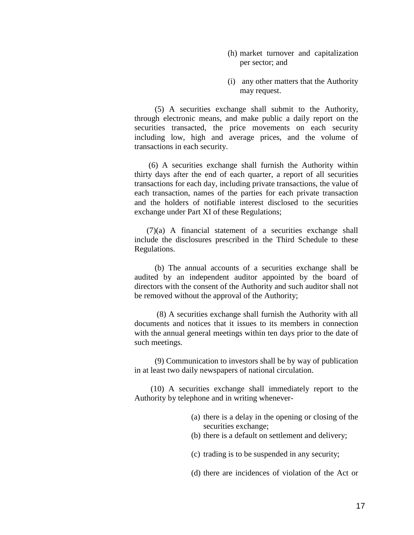- (h) market turnover and capitalization per sector; and
- (i) any other matters that the Authority may request.

 (5) A securities exchange shall submit to the Authority, through electronic means, and make public a daily report on the securities transacted, the price movements on each security including low, high and average prices, and the volume of transactions in each security.

 (6) A securities exchange shall furnish the Authority within thirty days after the end of each quarter, a report of all securities transactions for each day, including private transactions, the value of each transaction, names of the parties for each private transaction and the holders of notifiable interest disclosed to the securities exchange under Part XI of these Regulations;

 (7)(a) A financial statement of a securities exchange shall include the disclosures prescribed in the Third Schedule to these Regulations.

 (b) The annual accounts of a securities exchange shall be audited by an independent auditor appointed by the board of directors with the consent of the Authority and such auditor shall not be removed without the approval of the Authority;

 (8) A securities exchange shall furnish the Authority with all documents and notices that it issues to its members in connection with the annual general meetings within ten days prior to the date of such meetings.

 (9) Communication to investors shall be by way of publication in at least two daily newspapers of national circulation.

 (10) A securities exchange shall immediately report to the Authority by telephone and in writing whenever-

- (a) there is a delay in the opening or closing of the securities exchange;
- (b) there is a default on settlement and delivery;
- (c) trading is to be suspended in any security;
- (d) there are incidences of violation of the Act or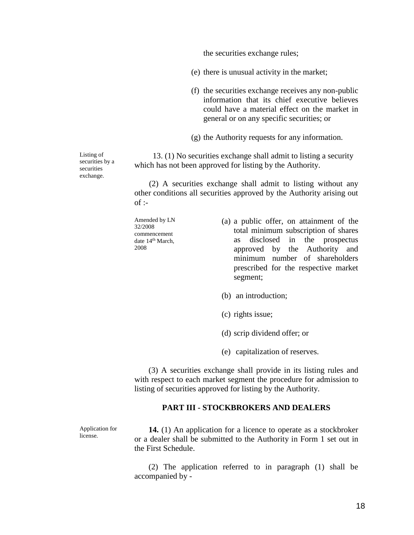the securities exchange rules;

- (e) there is unusual activity in the market;
- (f) the securities exchange receives any non-public information that its chief executive believes could have a material effect on the market in general or on any specific securities; or
- (g) the Authority requests for any information.

 13. (1) No securities exchange shall admit to listing a security which has not been approved for listing by the Authority.

(2) A securities exchange shall admit to listing without any other conditions all securities approved by the Authority arising out  $of$  :-

Amended by LN 32/2008 commencement date 14<sup>th</sup> March, 2008

- (a) a public offer, on attainment of the total minimum subscription of shares as disclosed in the prospectus approved by the Authority and minimum number of shareholders prescribed for the respective market segment;
- (b) an introduction;
- (c) rights issue;
- (d) scrip dividend offer; or
- (e) capitalization of reserves.

 (3) A securities exchange shall provide in its listing rules and with respect to each market segment the procedure for admission to listing of securities approved for listing by the Authority.

#### **PART III - STOCKBROKERS AND DEALERS**

Application for license.

 **14.** (1) An application for a licence to operate as a stockbroker or a dealer shall be submitted to the Authority in Form 1 set out in the First Schedule.

 (2) The application referred to in paragraph (1) shall be accompanied by -

Listing of securities by a securities exchange.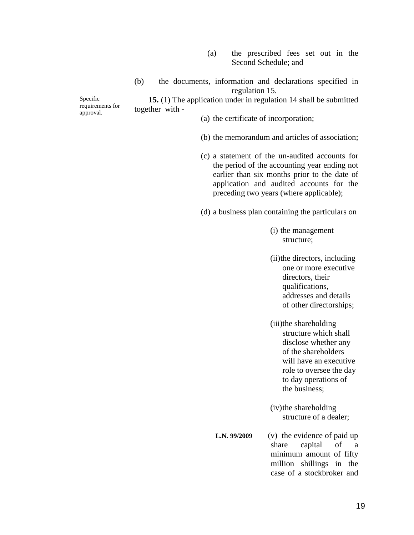- (a) the prescribed fees set out in the Second Schedule; and
- (b) the documents, information and declarations specified in regulation 15.

 **15.** (1) The application under in regulation 14 shall be submitted together with -

Specific requirements for approval.

(a) the certificate of incorporation;

- (b) the memorandum and articles of association;
- (c) a statement of the un-audited accounts for the period of the accounting year ending not earlier than six months prior to the date of application and audited accounts for the preceding two years (where applicable);

(d) a business plan containing the particulars on

- (i) the management structure;
- (ii)the directors, including one or more executive directors, their qualifications, addresses and details of other directorships;

(iii)the shareholding structure which shall disclose whether any of the shareholders will have an executive role to oversee the day to day operations of the business;

(iv)the shareholding structure of a dealer;

 **L.N. 99/2009** (v) the evidence of paid up share capital of a minimum amount of fifty million shillings in the case of a stockbroker and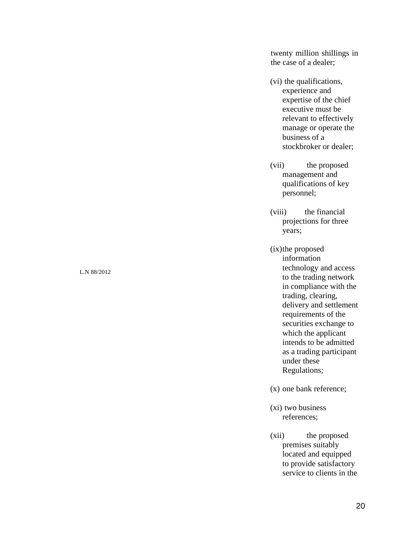twenty million shillings in the case of a dealer;

- (vi) the qualifications, experience and expertise of the chief executive must be relevant to effectively manage or operate the business of a stockbroker or dealer;
- (vii) the proposed management and qualifications of key personnel;
- (viii) the financial projections for three years;
- (ix)the proposed information technology and access to the trading network in compliance with the trading, clearing, delivery and settlement requirements of the securities exchange to which the applicant intends to be admitted as a trading participant under these Regulations;
- (x) one bank reference;
- (xi) two business references;
- (xii) the proposed premises suitably located and equipped to provide satisfactory service to clients in the

#### L.N 88/2012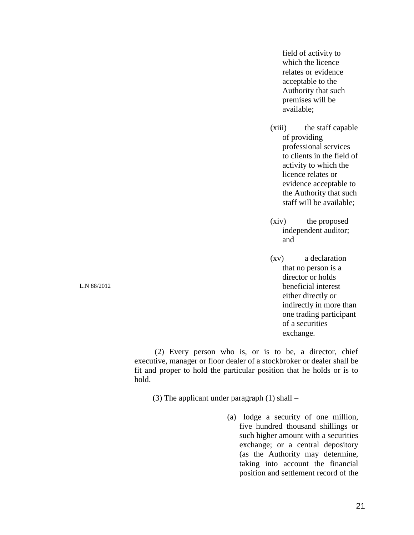field of activity to which the licence relates or evidence acceptable to the Authority that such premises will be available;

- (xiii) the staff capable of providing professional services to clients in the field of activity to which the licence relates or evidence acceptable to the Authority that such staff will be available;
- (xiv) the proposed independent auditor; and
- (xv) a declaration that no person is a director or holds beneficial interest either directly or indirectly in more than one trading participant of a securities exchange.

 (2) Every person who is, or is to be, a director, chief executive, manager or floor dealer of a stockbroker or dealer shall be fit and proper to hold the particular position that he holds or is to hold.

(3) The applicant under paragraph (1) shall –

(a) lodge a security of one million, five hundred thousand shillings or such higher amount with a securities exchange; or a central depository (as the Authority may determine, taking into account the financial position and settlement record of the

L.N 88/2012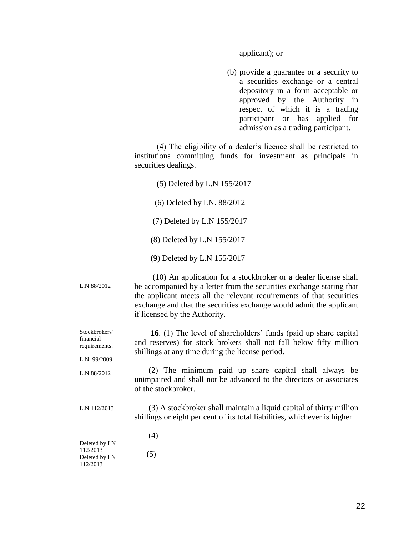applicant); or

(b) provide a guarantee or a security to a securities exchange or a central depository in a form acceptable or approved by the Authority in respect of which it is a trading participant or has applied for admission as a trading participant.

 (4) The eligibility of a dealer's licence shall be restricted to institutions committing funds for investment as principals in securities dealings.

L.N 88/2012 (5) Deleted by L.N 155/2017 (6) Deleted by LN. 88/2012 (7) Deleted by L.N 155/2017 (8) Deleted by L.N 155/2017 (9) Deleted by L.N 155/2017 (10) An application for a stockbroker or a dealer license shall be accompanied by a letter from the securities exchange stating that the applicant meets all the relevant requirements of that securities exchange and that the securities exchange would admit the applicant if licensed by the Authority. Stockbrokers' financial requirements. L.N. 99/2009 L.N 88/2012 L.N 112/2013 Deleted by LN 112/2013 Deleted by LN 112/2013  **16**. (1) The level of shareholders' funds (paid up share capital and reserves) for stock brokers shall not fall below fifty million shillings at any time during the license period. (2) The minimum paid up share capital shall always be unimpaired and shall not be advanced to the directors or associates of the stockbroker. (3) A stockbroker shall maintain a liquid capital of thirty million shillings or eight per cent of its total liabilities, whichever is higher. (4) (5)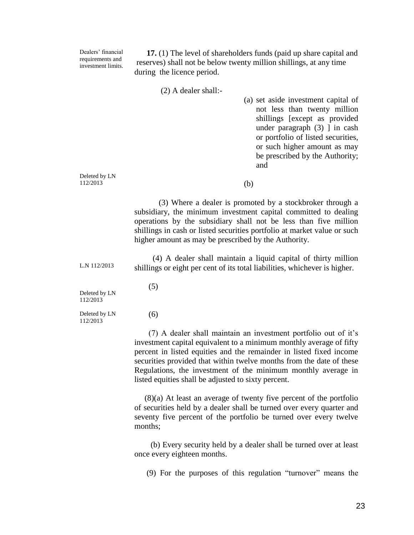**17.** (1) The level of shareholders funds (paid up share capital and reserves) shall not be below twenty million shillings, at any time during the licence period.

Dealers' financial requirements and investment limits.

(2) A dealer shall:-

Deleted by LN 112/2013 L.N 112/2013 Deleted by LN 112/2013 Deleted by LN 112/2013 (a) set aside investment capital of not less than twenty million shillings [except as provided under paragraph  $(3)$  ] in cash or portfolio of listed securities, or such higher amount as may be prescribed by the Authority; and (b) (3) Where a dealer is promoted by a stockbroker through a subsidiary, the minimum investment capital committed to dealing operations by the subsidiary shall not be less than five million shillings in cash or listed securities portfolio at market value or such higher amount as may be prescribed by the Authority. (4) A dealer shall maintain a liquid capital of thirty million shillings or eight per cent of its total liabilities, whichever is higher. (5) (6) (7) A dealer shall maintain an investment portfolio out of it's investment capital equivalent to a minimum monthly average of fifty percent in listed equities and the remainder in listed fixed income securities provided that within twelve months from the date of these Regulations, the investment of the minimum monthly average in listed equities shall be adjusted to sixty percent. (8)(a) At least an average of twenty five percent of the portfolio of securities held by a dealer shall be turned over every quarter and seventy five percent of the portfolio be turned over every twelve months;

> (b) Every security held by a dealer shall be turned over at least once every eighteen months.

(9) For the purposes of this regulation "turnover" means the

23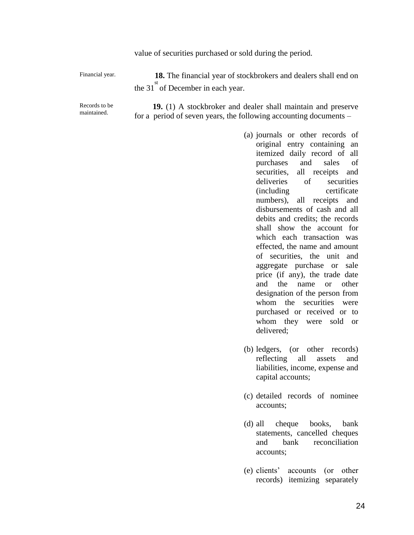| value of securities purchased or sold during the period. |  |  |
|----------------------------------------------------------|--|--|
|                                                          |  |  |

| Financial year.              | <b>18.</b> The financial year of stockbrokers and dealers shall end on                                                                   |
|------------------------------|------------------------------------------------------------------------------------------------------------------------------------------|
|                              | the 31 of December in each year.                                                                                                         |
| Records to be<br>maintained. | <b>19.</b> (1) A stockbroker and dealer shall maintain and preserve<br>for a period of seven years, the following accounting documents – |

- (a) journals or other records of original entry containing an itemized daily record of all purchases and sales of securities, all receipts and deliveries of securities (including certificate numbers), all receipts and disbursements of cash and all debits and credits; the records shall show the account for which each transaction was effected, the name and amount of securities, the unit and aggregate purchase or sale price (if any), the trade date and the name or other designation of the person from whom the securities were purchased or received or to whom they were sold or delivered;
- (b) ledgers, (or other records) reflecting all assets and liabilities, income, expense and capital accounts;
- (c) detailed records of nominee accounts;
- (d) all cheque books, bank statements, cancelled cheques and bank reconciliation accounts;
- (e) clients' accounts (or other records) itemizing separately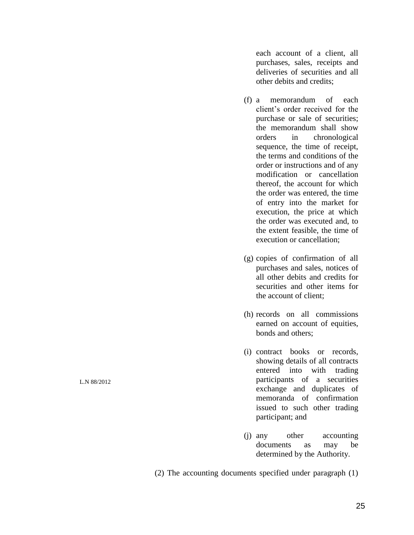each account of a client, all purchases, sales, receipts and deliveries of securities and all other debits and credits;

- (f) a memorandum of each client's order received for the purchase or sale of securities; the memorandum shall show orders in chronological sequence, the time of receipt, the terms and conditions of the order or instructions and of any modification or cancellation thereof, the account for which the order was entered, the time of entry into the market for execution, the price at which the order was executed and, to the extent feasible, the time of execution or cancellation;
- (g) copies of confirmation of all purchases and sales, notices of all other debits and credits for securities and other items for the account of client;
- (h) records on all commissions earned on account of equities, bonds and others;
- (i) contract books or records, showing details of all contracts entered into with trading participants of a securities exchange and duplicates of memoranda of confirmation issued to such other trading participant; and
- (j) any other accounting documents as may be determined by the Authority.

(2) The accounting documents specified under paragraph (1)

L.N 88/2012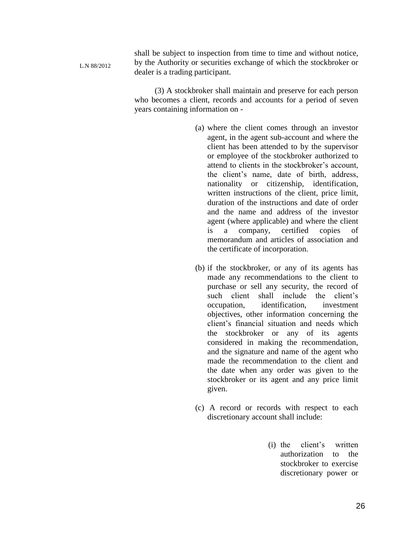shall be subject to inspection from time to time and without notice, by the Authority or securities exchange of which the stockbroker or dealer is a trading participant.

L.N 88/2012

 (3) A stockbroker shall maintain and preserve for each person who becomes a client, records and accounts for a period of seven years containing information on -

- (a) where the client comes through an investor agent, in the agent sub-account and where the client has been attended to by the supervisor or employee of the stockbroker authorized to attend to clients in the stockbroker's account, the client's name, date of birth, address, nationality or citizenship, identification, written instructions of the client, price limit, duration of the instructions and date of order and the name and address of the investor agent (where applicable) and where the client is a company, certified copies of memorandum and articles of association and the certificate of incorporation.
- (b) if the stockbroker, or any of its agents has made any recommendations to the client to purchase or sell any security, the record of such client shall include the client's occupation, identification, investment objectives, other information concerning the client's financial situation and needs which the stockbroker or any of its agents considered in making the recommendation, and the signature and name of the agent who made the recommendation to the client and the date when any order was given to the stockbroker or its agent and any price limit given.
- (c) A record or records with respect to each discretionary account shall include:
	- (i) the client's written authorization to the stockbroker to exercise discretionary power or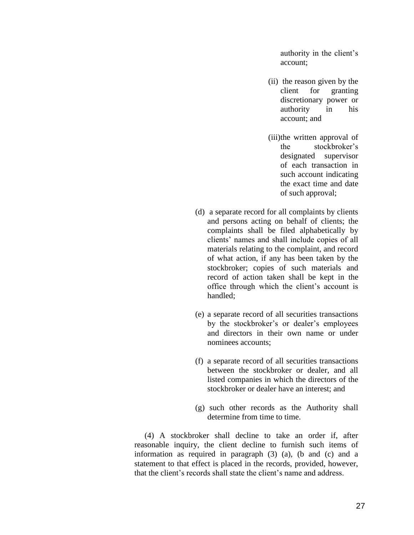authority in the client's account;

- (ii) the reason given by the client for granting discretionary power or authority in his account; and
- (iii)the written approval of the stockbroker's designated supervisor of each transaction in such account indicating the exact time and date of such approval;
- (d) a separate record for all complaints by clients and persons acting on behalf of clients; the complaints shall be filed alphabetically by clients' names and shall include copies of all materials relating to the complaint, and record of what action, if any has been taken by the stockbroker; copies of such materials and record of action taken shall be kept in the office through which the client's account is handled;
- (e) a separate record of all securities transactions by the stockbroker's or dealer's employees and directors in their own name or under nominees accounts;
- (f) a separate record of all securities transactions between the stockbroker or dealer, and all listed companies in which the directors of the stockbroker or dealer have an interest; and
- (g) such other records as the Authority shall determine from time to time.

 (4) A stockbroker shall decline to take an order if, after reasonable inquiry, the client decline to furnish such items of information as required in paragraph (3) (a), (b and (c) and a statement to that effect is placed in the records, provided, however, that the client's records shall state the client's name and address.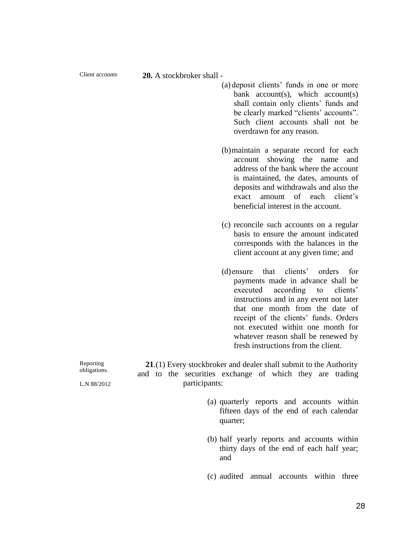Client accounts

**20.** A stockbroker shall -

- (a) deposit clients' funds in one or more bank  $account(s)$ , which  $account(s)$ shall contain only clients' funds and be clearly marked "clients' accounts". Such client accounts shall not be overdrawn for any reason.
- (b)maintain a separate record for each account showing the name and address of the bank where the account is maintained, the dates, amounts of deposits and withdrawals and also the exact amount of each client's beneficial interest in the account.
- (c) reconcile such accounts on a regular basis to ensure the amount indicated corresponds with the balances in the client account at any given time; and
- (d)ensure that clients' orders for payments made in advance shall be executed according to clients' instructions and in any event not later that one month from the date of receipt of the clients' funds. Orders not executed within one month for whatever reason shall be renewed by fresh instructions from the client.

Reporting obligations.

L.N 88/2012

 **21**.(1) Every stockbroker and dealer shall submit to the Authority and to the securities exchange of which they are trading participants:

- (a) quarterly reports and accounts within fifteen days of the end of each calendar quarter;
- (b) half yearly reports and accounts within thirty days of the end of each half year; and
- (c) audited annual accounts within three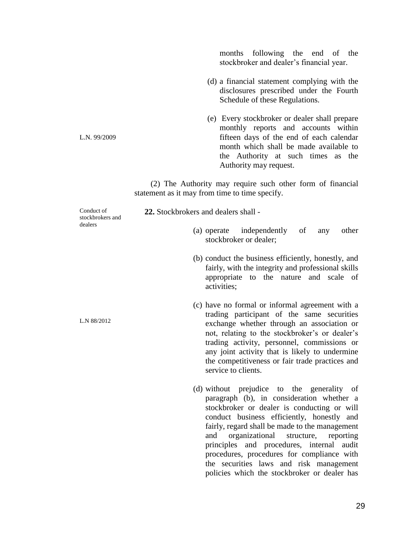months following the end of the stockbroker and dealer's financial year.

- (d) a financial statement complying with the disclosures prescribed under the Fourth Schedule of these Regulations.
- (e) Every stockbroker or dealer shall prepare monthly reports and accounts within fifteen days of the end of each calendar month which shall be made available to the Authority at such times as the Authority may request.

 (2) The Authority may require such other form of financial statement as it may from time to time specify.

Conduct of stockbrokers and dealers

L.N. 99/2009

L.N 88/2012

 **22.** Stockbrokers and dealers shall -

- (a) operate independently of any other stockbroker or dealer;
- (b) conduct the business efficiently, honestly, and fairly, with the integrity and professional skills appropriate to the nature and scale of activities;
- (c) have no formal or informal agreement with a trading participant of the same securities exchange whether through an association or not, relating to the stockbroker's or dealer's trading activity, personnel, commissions or any joint activity that is likely to undermine the competitiveness or fair trade practices and service to clients.
- (d) without prejudice to the generality of paragraph (b), in consideration whether a stockbroker or dealer is conducting or will conduct business efficiently, honestly and fairly, regard shall be made to the management and organizational structure, reporting principles and procedures, internal audit procedures, procedures for compliance with the securities laws and risk management policies which the stockbroker or dealer has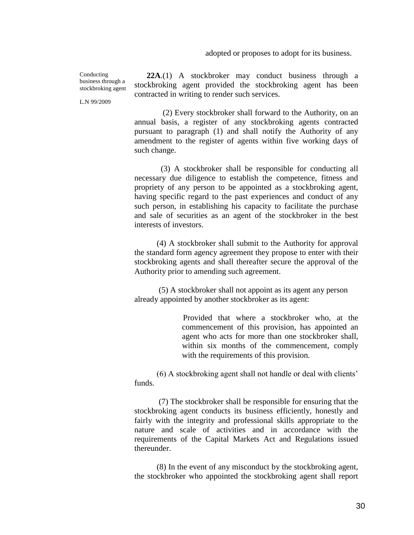adopted or proposes to adopt for its business.

Conducting business through a stockbroking agent

L.N 99/2009

 **22A**.(1) A stockbroker may conduct business through a stockbroking agent provided the stockbroking agent has been contracted in writing to render such services.

 (2) Every stockbroker shall forward to the Authority, on an annual basis, a register of any stockbroking agents contracted pursuant to paragraph (1) and shall notify the Authority of any amendment to the register of agents within five working days of such change.

 (3) A stockbroker shall be responsible for conducting all necessary due diligence to establish the competence, fitness and propriety of any person to be appointed as a stockbroking agent, having specific regard to the past experiences and conduct of any such person, in establishing his capacity to facilitate the purchase and sale of securities as an agent of the stockbroker in the best interests of investors.

 (4) A stockbroker shall submit to the Authority for approval the standard form agency agreement they propose to enter with their stockbroking agents and shall thereafter secure the approval of the Authority prior to amending such agreement.

 (5) A stockbroker shall not appoint as its agent any person already appointed by another stockbroker as its agent:

> Provided that where a stockbroker who, at the commencement of this provision, has appointed an agent who acts for more than one stockbroker shall, within six months of the commencement, comply with the requirements of this provision.

 (6) A stockbroking agent shall not handle or deal with clients' funds.

 (7) The stockbroker shall be responsible for ensuring that the stockbroking agent conducts its business efficiently, honestly and fairly with the integrity and professional skills appropriate to the nature and scale of activities and in accordance with the requirements of the Capital Markets Act and Regulations issued thereunder.

 (8) In the event of any misconduct by the stockbroking agent, the stockbroker who appointed the stockbroking agent shall report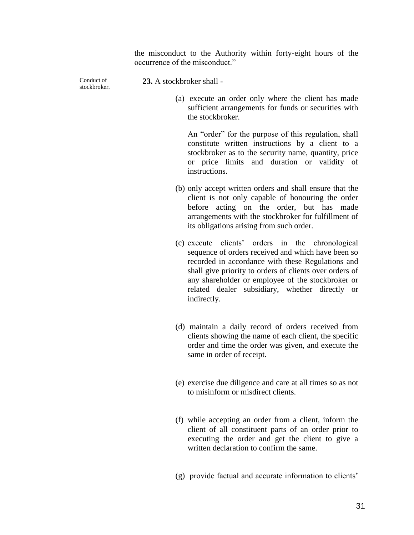the misconduct to the Authority within forty-eight hours of the occurrence of the misconduct."

Conduct of stockbroker.

- **23.** A stockbroker shall
	- (a) execute an order only where the client has made sufficient arrangements for funds or securities with the stockbroker.

An "order" for the purpose of this regulation, shall constitute written instructions by a client to a stockbroker as to the security name, quantity, price or price limits and duration or validity of instructions.

- (b) only accept written orders and shall ensure that the client is not only capable of honouring the order before acting on the order, but has made arrangements with the stockbroker for fulfillment of its obligations arising from such order.
- (c) execute clients' orders in the chronological sequence of orders received and which have been so recorded in accordance with these Regulations and shall give priority to orders of clients over orders of any shareholder or employee of the stockbroker or related dealer subsidiary, whether directly or indirectly.
- (d) maintain a daily record of orders received from clients showing the name of each client, the specific order and time the order was given, and execute the same in order of receipt.
- (e) exercise due diligence and care at all times so as not to misinform or misdirect clients.
- (f) while accepting an order from a client, inform the client of all constituent parts of an order prior to executing the order and get the client to give a written declaration to confirm the same.
- (g) provide factual and accurate information to clients'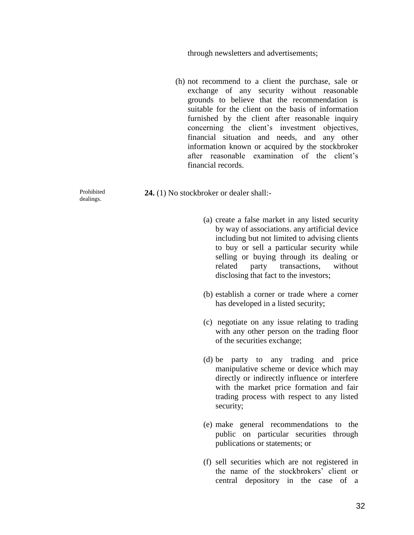through newsletters and advertisements;

(h) not recommend to a client the purchase, sale or exchange of any security without reasonable grounds to believe that the recommendation is suitable for the client on the basis of information furnished by the client after reasonable inquiry concerning the client's investment objectives, financial situation and needs, and any other information known or acquired by the stockbroker after reasonable examination of the client's financial records.

**24.** (1) No stockbroker or dealer shall:-

- (a) create a false market in any listed security by way of associations. any artificial device including but not limited to advising clients to buy or sell a particular security while selling or buying through its dealing or related party transactions, without disclosing that fact to the investors;
- (b) establish a corner or trade where a corner has developed in a listed security;
- (c) negotiate on any issue relating to trading with any other person on the trading floor of the securities exchange;
- (d) be party to any trading and price manipulative scheme or device which may directly or indirectly influence or interfere with the market price formation and fair trading process with respect to any listed security;
- (e) make general recommendations to the public on particular securities through publications or statements; or
- (f) sell securities which are not registered in the name of the stockbrokers' client or central depository in the case of a

Prohibited dealings.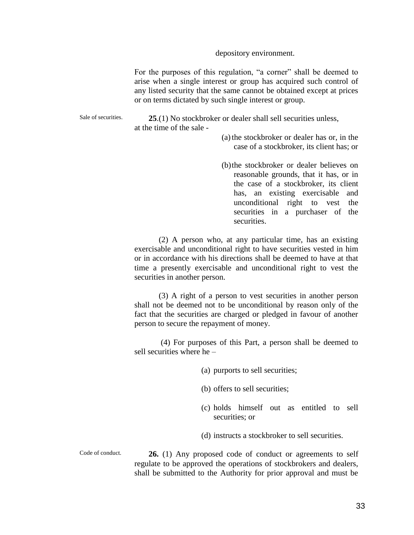depository environment.

For the purposes of this regulation, "a corner" shall be deemed to arise when a single interest or group has acquired such control of any listed security that the same cannot be obtained except at prices or on terms dictated by such single interest or group.

Sale of securities. **25**.(1) No stockbroker or dealer shall sell securities unless, at the time of the sale -

- (a) the stockbroker or dealer has or, in the case of a stockbroker, its client has; or
- (b)the stockbroker or dealer believes on reasonable grounds, that it has, or in the case of a stockbroker, its client has, an existing exercisable and unconditional right to vest the securities in a purchaser of the securities.

 (2) A person who, at any particular time, has an existing exercisable and unconditional right to have securities vested in him or in accordance with his directions shall be deemed to have at that time a presently exercisable and unconditional right to vest the securities in another person.

 (3) A right of a person to vest securities in another person shall not be deemed not to be unconditional by reason only of the fact that the securities are charged or pledged in favour of another person to secure the repayment of money.

 (4) For purposes of this Part, a person shall be deemed to sell securities where he –

(a) purports to sell securities;

(b) offers to sell securities;

- (c) holds himself out as entitled to sell securities; or
- (d) instructs a stockbroker to sell securities.

Code of conduct.

 **26.** (1) Any proposed code of conduct or agreements to self regulate to be approved the operations of stockbrokers and dealers, shall be submitted to the Authority for prior approval and must be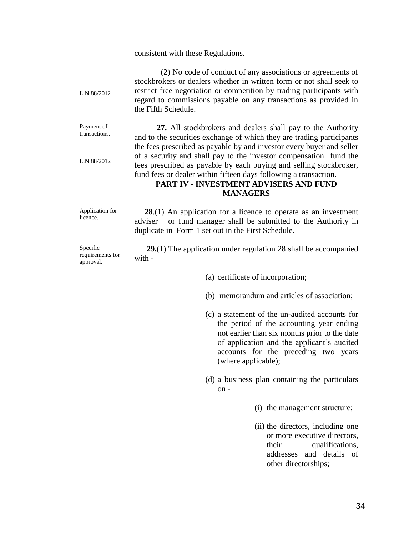#### consistent with these Regulations.

L.N 88/2012 (2) No code of conduct of any associations or agreements of stockbrokers or dealers whether in written form or not shall seek to restrict free negotiation or competition by trading participants with regard to commissions payable on any transactions as provided in the Fifth Schedule.

Payment of transactions. L.N 88/2012 **27.** All stockbrokers and dealers shall pay to the Authority and to the securities exchange of which they are trading participants the fees prescribed as payable by and investor every buyer and seller of a security and shall pay to the investor compensation fund the fees prescribed as payable by each buying and selling stockbroker,

# fund fees or dealer within fifteen days following a transaction. **PART IV - INVESTMENT ADVISERS AND FUND MANAGERS**

Application for licence.

 **28**.(1) An application for a licence to operate as an investment adviser or fund manager shall be submitted to the Authority in duplicate in Form 1 set out in the First Schedule.

Specific requirements for approval.

 **29.**(1) The application under regulation 28 shall be accompanied with -

- (a) certificate of incorporation;
- (b) memorandum and articles of association;
- (c) a statement of the un-audited accounts for the period of the accounting year ending not earlier than six months prior to the date of application and the applicant's audited accounts for the preceding two years (where applicable);
- (d) a business plan containing the particulars on -
	- (i) the management structure;
	- (ii) the directors, including one or more executive directors, their qualifications. addresses and details of other directorships;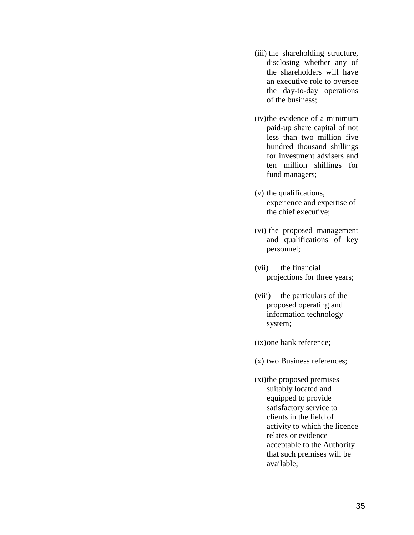- (iii) the shareholding structure, disclosing whether any of the shareholders will have an executive role to oversee the day-to-day operations of the business;
- (iv)the evidence of a minimum paid-up share capital of not less than two million five hundred thousand shillings for investment advisers and ten million shillings for fund managers;
- (v) the qualifications, experience and expertise of the chief executive;
- (vi) the proposed management and qualifications of key personnel;
- (vii) the financial projections for three years;
- (viii) the particulars of the proposed operating and information technology system;
- (ix)one bank reference;
- (x) two Business references;
- (xi)the proposed premises suitably located and equipped to provide satisfactory service to clients in the field of activity to which the licence relates or evidence acceptable to the Authority that such premises will be available;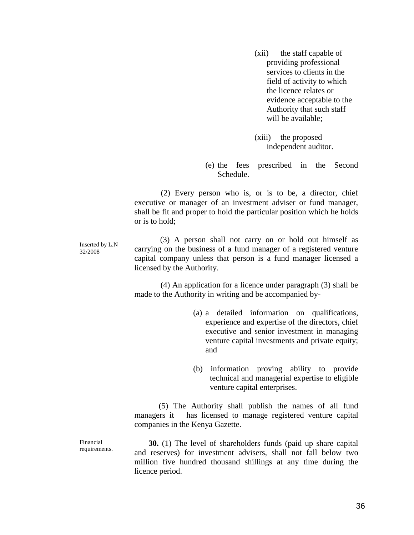(xii) the staff capable of providing professional services to clients in the field of activity to which the licence relates or evidence acceptable to the Authority that such staff will be available:

(xiii) the proposed independent auditor.

(e) the fees prescribed in the Second Schedule.

 (2) Every person who is, or is to be, a director, chief executive or manager of an investment adviser or fund manager, shall be fit and proper to hold the particular position which he holds or is to hold;

Inserted by L.N 32/2008 (3) A person shall not carry on or hold out himself as carrying on the business of a fund manager of a registered venture capital company unless that person is a fund manager licensed a licensed by the Authority.

> (4) An application for a licence under paragraph (3) shall be made to the Authority in writing and be accompanied by-

- (a) a detailed information on qualifications, experience and expertise of the directors, chief executive and senior investment in managing venture capital investments and private equity; and
- (b) information proving ability to provide technical and managerial expertise to eligible venture capital enterprises.

 (5) The Authority shall publish the names of all fund managers it has licensed to manage registered venture capital companies in the Kenya Gazette.

 **30.** (1) The level of shareholders funds (paid up share capital and reserves) for investment advisers, shall not fall below two million five hundred thousand shillings at any time during the licence period.

Financial requirements.

36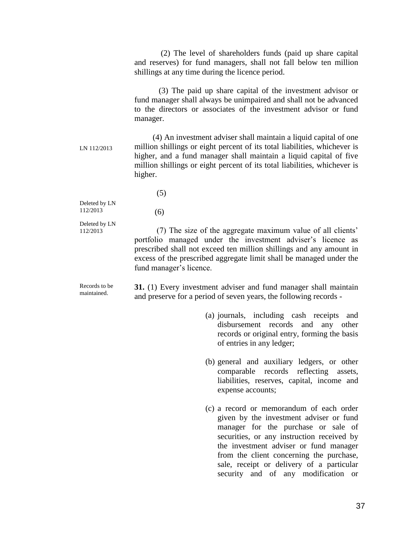(2) The level of shareholders funds (paid up share capital and reserves) for fund managers, shall not fall below ten million shillings at any time during the licence period.

 (3) The paid up share capital of the investment advisor or fund manager shall always be unimpaired and shall not be advanced to the directors or associates of the investment advisor or fund manager.

LN 112/2013 (4) An investment adviser shall maintain a liquid capital of one million shillings or eight percent of its total liabilities, whichever is higher, and a fund manager shall maintain a liquid capital of five million shillings or eight percent of its total liabilities, whichever is higher.

(5)

(6)

Deleted by LN 112/2013

Deleted by LN 112/2013

 (7) The size of the aggregate maximum value of all clients' portfolio managed under the investment adviser's licence as prescribed shall not exceed ten million shillings and any amount in excess of the prescribed aggregate limit shall be managed under the fund manager's licence.

Records to be maintained. **31.** (1) Every investment adviser and fund manager shall maintain and preserve for a period of seven years, the following records -

- (a) journals, including cash receipts and disbursement records and any other records or original entry, forming the basis of entries in any ledger;
- (b) general and auxiliary ledgers, or other comparable records reflecting assets, liabilities, reserves, capital, income and expense accounts;
- (c) a record or memorandum of each order given by the investment adviser or fund manager for the purchase or sale of securities, or any instruction received by the investment adviser or fund manager from the client concerning the purchase, sale, receipt or delivery of a particular security and of any modification or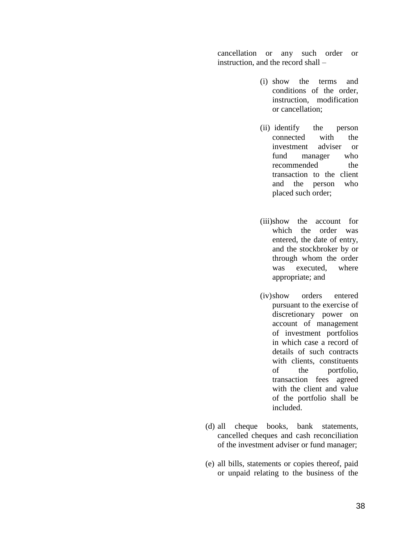cancellation or any such order or instruction, and the record shall –

- (i) show the terms and conditions of the order, instruction, modification or cancellation;
- (ii) identify the person connected with the investment adviser or fund manager who recommended the transaction to the client and the person who placed such order;
- (iii)show the account for which the order was entered, the date of entry, and the stockbroker by or through whom the order was executed, where appropriate; and
- (iv)show orders entered pursuant to the exercise of discretionary power on account of management of investment portfolios in which case a record of details of such contracts with clients, constituents of the portfolio, transaction fees agreed with the client and value of the portfolio shall be included.
- (d) all cheque books, bank statements, cancelled cheques and cash reconciliation of the investment adviser or fund manager;
- (e) all bills, statements or copies thereof, paid or unpaid relating to the business of the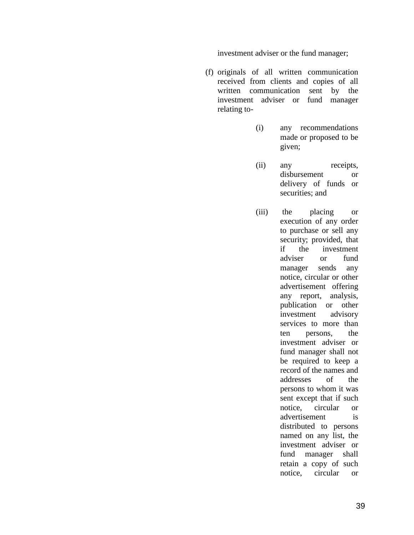investment adviser or the fund manager;

- (f) originals of all written communication received from clients and copies of all written communication sent by the investment adviser or fund manager relating to-
	- (i) any recommendations made or proposed to be given;
	- (ii) any receipts, disbursement or delivery of funds or securities; and
	- (iii) the placing or execution of any order to purchase or sell any security; provided, that if the investment adviser or fund manager sends any notice, circular or other advertisement offering any report, analysis, publication or other investment advisory services to more than ten persons, the investment adviser or fund manager shall not be required to keep a record of the names and addresses of the persons to whom it was sent except that if such notice, circular or advertisement is distributed to persons named on any list, the investment adviser or fund manager shall retain a copy of such notice, circular or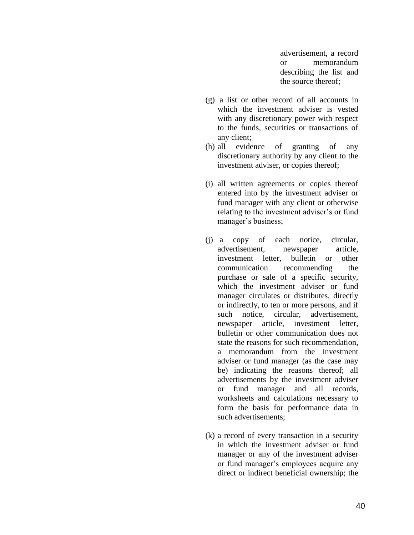advertisement, a record or memorandum describing the list and the source thereof;

- (g) a list or other record of all accounts in which the investment adviser is vested with any discretionary power with respect to the funds, securities or transactions of any client;
- (h) all evidence of granting of any discretionary authority by any client to the investment adviser, or copies thereof;
- (i) all written agreements or copies thereof entered into by the investment adviser or fund manager with any client or otherwise relating to the investment adviser's or fund manager's business;
- (j) a copy of each notice, circular, advertisement, newspaper article, investment letter, bulletin or other communication recommending the purchase or sale of a specific security, which the investment adviser or fund manager circulates or distributes, directly or indirectly, to ten or more persons, and if such notice, circular, advertisement, newspaper article, investment letter, bulletin or other communication does not state the reasons for such recommendation, a memorandum from the investment adviser or fund manager (as the case may be) indicating the reasons thereof; all advertisements by the investment adviser or fund manager and all records, worksheets and calculations necessary to form the basis for performance data in such advertisements;
- (k) a record of every transaction in a security in which the investment adviser or fund manager or any of the investment adviser or fund manager's employees acquire any direct or indirect beneficial ownership; the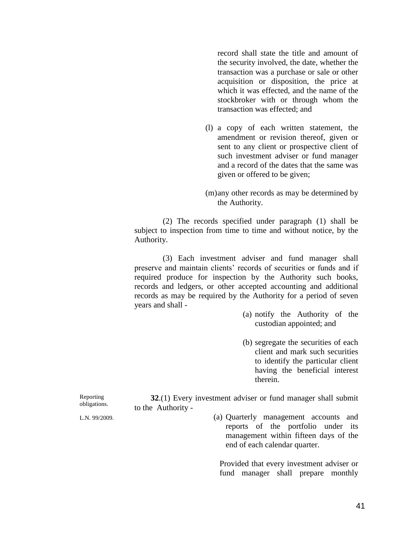record shall state the title and amount of the security involved, the date, whether the transaction was a purchase or sale or other acquisition or disposition, the price at which it was effected, and the name of the stockbroker with or through whom the transaction was effected; and

- (l) a copy of each written statement, the amendment or revision thereof, given or sent to any client or prospective client of such investment adviser or fund manager and a record of the dates that the same was given or offered to be given;
- (m)any other records as may be determined by the Authority.

 (2) The records specified under paragraph (1) shall be subject to inspection from time to time and without notice, by the Authority.

 (3) Each investment adviser and fund manager shall preserve and maintain clients' records of securities or funds and if required produce for inspection by the Authority such books, records and ledgers, or other accepted accounting and additional records as may be required by the Authority for a period of seven years and shall -

- (a) notify the Authority of the custodian appointed; and
- (b) segregate the securities of each client and mark such securities to identify the particular client having the beneficial interest therein.

 **32**.(1) Every investment adviser or fund manager shall submit to the Authority -

Reporting obligations.

L.N. 99/2009.

(a) Quarterly management accounts and reports of the portfolio under its management within fifteen days of the end of each calendar quarter.

Provided that every investment adviser or fund manager shall prepare monthly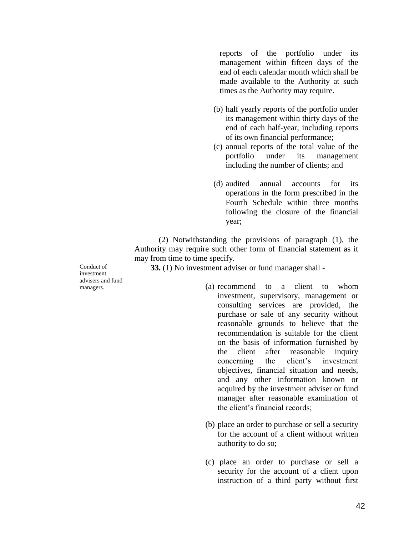reports of the portfolio under its management within fifteen days of the end of each calendar month which shall be made available to the Authority at such times as the Authority may require.

- (b) half yearly reports of the portfolio under its management within thirty days of the end of each half-year, including reports of its own financial performance;
- (c) annual reports of the total value of the portfolio under its management including the number of clients; and
- (d) audited annual accounts for its operations in the form prescribed in the Fourth Schedule within three months following the closure of the financial year;

 (2) Notwithstanding the provisions of paragraph (1), the Authority may require such other form of financial statement as it may from time to time specify.

**33.** (1) No investment adviser or fund manager shall -

Conduct of investment advisers and fund managers.

- (a) recommend to a client to whom investment, supervisory, management or consulting services are provided, the purchase or sale of any security without reasonable grounds to believe that the recommendation is suitable for the client on the basis of information furnished by the client after reasonable inquiry concerning the client's investment objectives, financial situation and needs, and any other information known or acquired by the investment adviser or fund manager after reasonable examination of the client's financial records;
- (b) place an order to purchase or sell a security for the account of a client without written authority to do so;
- (c) place an order to purchase or sell a security for the account of a client upon instruction of a third party without first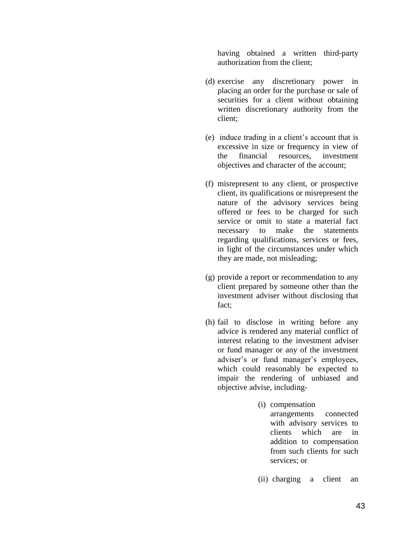having obtained a written third-party authorization from the client;

- (d) exercise any discretionary power in placing an order for the purchase or sale of securities for a client without obtaining written discretionary authority from the client;
- (e) induce trading in a client's account that is excessive in size or frequency in view of the financial resources, investment objectives and character of the account;
- (f) misrepresent to any client, or prospective client, its qualifications or misrepresent the nature of the advisory services being offered or fees to be charged for such service or omit to state a material fact necessary to make the statements regarding qualifications, services or fees, in light of the circumstances under which they are made, not misleading;
- (g) provide a report or recommendation to any client prepared by someone other than the investment adviser without disclosing that fact;
- (h) fail to disclose in writing before any advice is rendered any material conflict of interest relating to the investment adviser or fund manager or any of the investment adviser's or fund manager's employees, which could reasonably be expected to impair the rendering of unbiased and objective advise, including-
	- (i) compensation arrangements connected with advisory services to clients which are in addition to compensation from such clients for such services; or
	- (ii) charging a client an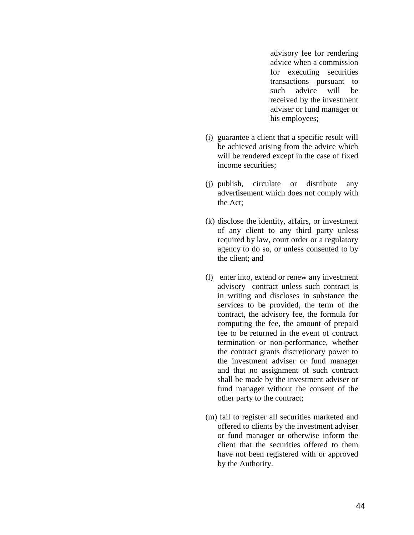advisory fee for rendering advice when a commission for executing securities transactions pursuant to such advice will be received by the investment adviser or fund manager or his employees;

- (i) guarantee a client that a specific result will be achieved arising from the advice which will be rendered except in the case of fixed income securities;
- (j) publish, circulate or distribute any advertisement which does not comply with the Act;
- (k) disclose the identity, affairs, or investment of any client to any third party unless required by law, court order or a regulatory agency to do so, or unless consented to by the client; and
- (l) enter into, extend or renew any investment advisory contract unless such contract is in writing and discloses in substance the services to be provided, the term of the contract, the advisory fee, the formula for computing the fee, the amount of prepaid fee to be returned in the event of contract termination or non-performance, whether the contract grants discretionary power to the investment adviser or fund manager and that no assignment of such contract shall be made by the investment adviser or fund manager without the consent of the other party to the contract;
- (m) fail to register all securities marketed and offered to clients by the investment adviser or fund manager or otherwise inform the client that the securities offered to them have not been registered with or approved by the Authority.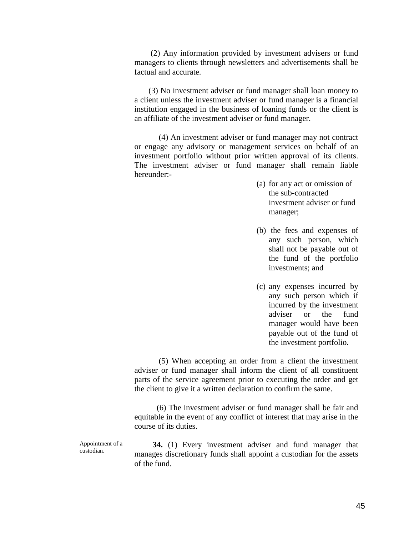(2) Any information provided by investment advisers or fund managers to clients through newsletters and advertisements shall be factual and accurate.

 (3) No investment adviser or fund manager shall loan money to a client unless the investment adviser or fund manager is a financial institution engaged in the business of loaning funds or the client is an affiliate of the investment adviser or fund manager.

 (4) An investment adviser or fund manager may not contract or engage any advisory or management services on behalf of an investment portfolio without prior written approval of its clients. The investment adviser or fund manager shall remain liable hereunder:-

- (a) for any act or omission of the sub-contracted investment adviser or fund manager;
- (b) the fees and expenses of any such person, which shall not be payable out of the fund of the portfolio investments; and
- (c) any expenses incurred by any such person which if incurred by the investment adviser or the fund manager would have been payable out of the fund of the investment portfolio.

 (5) When accepting an order from a client the investment adviser or fund manager shall inform the client of all constituent parts of the service agreement prior to executing the order and get the client to give it a written declaration to confirm the same.

 (6) The investment adviser or fund manager shall be fair and equitable in the event of any conflict of interest that may arise in the course of its duties.

 **34.** (1) Every investment adviser and fund manager that manages discretionary funds shall appoint a custodian for the assets of the fund.

Appointment of a custodian.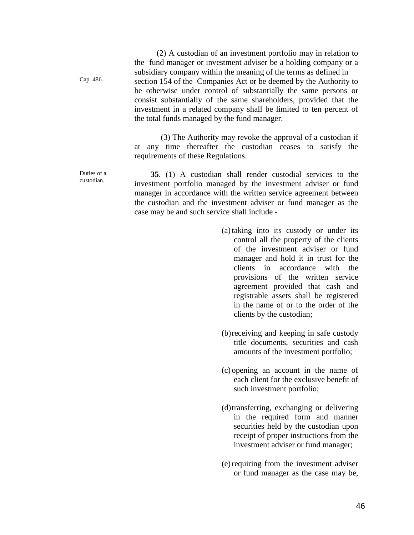(2) A custodian of an investment portfolio may in relation to the fund manager or investment adviser be a holding company or a subsidiary company within the meaning of the terms as defined in section 154 of the Companies Act or be deemed by the Authority to be otherwise under control of substantially the same persons or consist substantially of the same shareholders, provided that the investment in a related company shall be limited to ten percent of the total funds managed by the fund manager.

 (3) The Authority may revoke the approval of a custodian if at any time thereafter the custodian ceases to satisfy the requirements of these Regulations.

 **35**. (1) A custodian shall render custodial services to the investment portfolio managed by the investment adviser or fund manager in accordance with the written service agreement between the custodian and the investment adviser or fund manager as the case may be and such service shall include -

- (a)taking into its custody or under its control all the property of the clients of the investment adviser or fund manager and hold it in trust for the clients in accordance with the provisions of the written service agreement provided that cash and registrable assets shall be registered in the name of or to the order of the clients by the custodian;
- (b)receiving and keeping in safe custody title documents, securities and cash amounts of the investment portfolio;
- (c) opening an account in the name of each client for the exclusive benefit of such investment portfolio;
- (d)transferring, exchanging or delivering in the required form and manner securities held by the custodian upon receipt of proper instructions from the investment adviser or fund manager;
- (e)requiring from the investment adviser or fund manager as the case may be,

Duties of a custodian.

Cap. 486.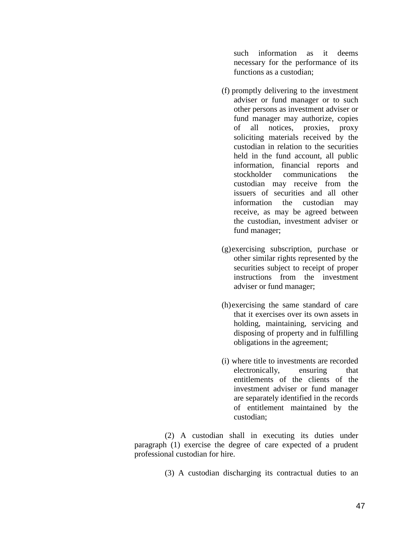such information as it deems necessary for the performance of its functions as a custodian;

- (f) promptly delivering to the investment adviser or fund manager or to such other persons as investment adviser or fund manager may authorize, copies of all notices, proxies, proxy soliciting materials received by the custodian in relation to the securities held in the fund account, all public information, financial reports and stockholder communications the custodian may receive from the issuers of securities and all other information the custodian may receive, as may be agreed between the custodian, investment adviser or fund manager;
- (g)exercising subscription, purchase or other similar rights represented by the securities subject to receipt of proper instructions from the investment adviser or fund manager;
- (h)exercising the same standard of care that it exercises over its own assets in holding, maintaining, servicing and disposing of property and in fulfilling obligations in the agreement;
- (i) where title to investments are recorded electronically, ensuring that entitlements of the clients of the investment adviser or fund manager are separately identified in the records of entitlement maintained by the custodian;

 (2) A custodian shall in executing its duties under paragraph (1) exercise the degree of care expected of a prudent professional custodian for hire.

(3) A custodian discharging its contractual duties to an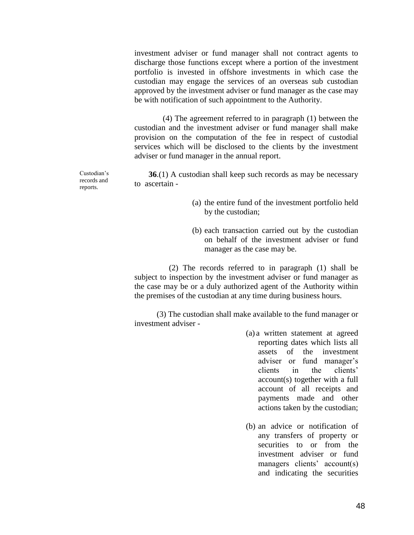investment adviser or fund manager shall not contract agents to discharge those functions except where a portion of the investment portfolio is invested in offshore investments in which case the custodian may engage the services of an overseas sub custodian approved by the investment adviser or fund manager as the case may be with notification of such appointment to the Authority.

 (4) The agreement referred to in paragraph (1) between the custodian and the investment adviser or fund manager shall make provision on the computation of the fee in respect of custodial services which will be disclosed to the clients by the investment adviser or fund manager in the annual report.

**36**.(1) A custodian shall keep such records as may be necessary to ascertain -

- (a) the entire fund of the investment portfolio held by the custodian;
- (b) each transaction carried out by the custodian on behalf of the investment adviser or fund manager as the case may be.

 (2) The records referred to in paragraph (1) shall be subject to inspection by the investment adviser or fund manager as the case may be or a duly authorized agent of the Authority within the premises of the custodian at any time during business hours.

 (3) The custodian shall make available to the fund manager or investment adviser -

- (a) a written statement at agreed reporting dates which lists all assets of the investment adviser or fund manager's clients in the clients' account(s) together with a full account of all receipts and payments made and other actions taken by the custodian;
- (b) an advice or notification of any transfers of property or securities to or from the investment adviser or fund managers clients' account(s) and indicating the securities

Custodian's records and reports.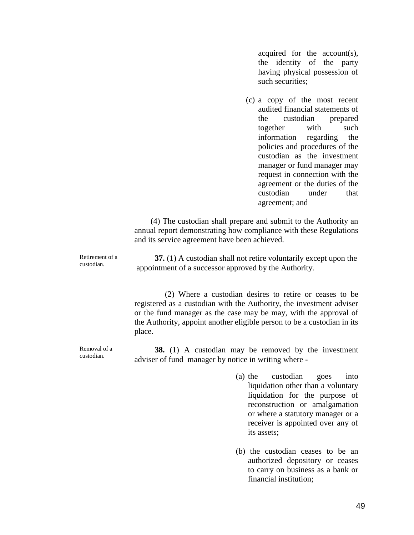acquired for the account(s), the identity of the party having physical possession of such securities;

(c) a copy of the most recent audited financial statements of the custodian prepared together with such information regarding the policies and procedures of the custodian as the investment manager or fund manager may request in connection with the agreement or the duties of the custodian under that agreement; and

 (4) The custodian shall prepare and submit to the Authority an annual report demonstrating how compliance with these Regulations and its service agreement have been achieved.

Retirement of a custodian.

 **37.** (1) A custodian shall not retire voluntarily except upon the appointment of a successor approved by the Authority.

(2) Where a custodian desires to retire or ceases to be registered as a custodian with the Authority, the investment adviser or the fund manager as the case may be may, with the approval of the Authority, appoint another eligible person to be a custodian in its place.

Removal of a custodian.

 **38.** (1) A custodian may be removed by the investment adviser of fund manager by notice in writing where -

- (a) the custodian goes into liquidation other than a voluntary liquidation for the purpose of reconstruction or amalgamation or where a statutory manager or a receiver is appointed over any of its assets;
- (b) the custodian ceases to be an authorized depository or ceases to carry on business as a bank or financial institution;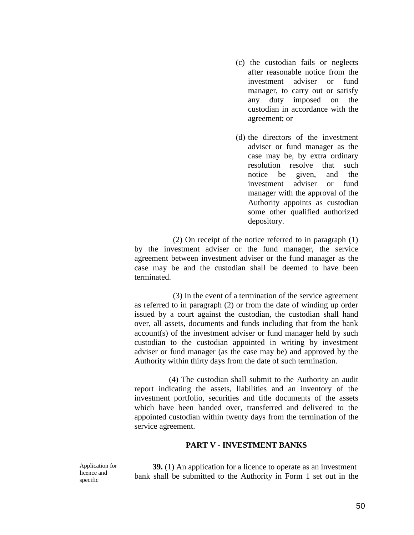- (c) the custodian fails or neglects after reasonable notice from the investment adviser or fund manager, to carry out or satisfy any duty imposed on the custodian in accordance with the agreement; or
- (d) the directors of the investment adviser or fund manager as the case may be, by extra ordinary resolution resolve that such notice be given, and the investment adviser or fund manager with the approval of the Authority appoints as custodian some other qualified authorized depository.

 (2) On receipt of the notice referred to in paragraph (1) by the investment adviser or the fund manager, the service agreement between investment adviser or the fund manager as the case may be and the custodian shall be deemed to have been terminated.

 (3) In the event of a termination of the service agreement as referred to in paragraph (2) or from the date of winding up order issued by a court against the custodian, the custodian shall hand over, all assets, documents and funds including that from the bank account(s) of the investment adviser or fund manager held by such custodian to the custodian appointed in writing by investment adviser or fund manager (as the case may be) and approved by the Authority within thirty days from the date of such termination.

 (4) The custodian shall submit to the Authority an audit report indicating the assets, liabilities and an inventory of the investment portfolio, securities and title documents of the assets which have been handed over, transferred and delivered to the appointed custodian within twenty days from the termination of the service agreement.

#### **PART V - INVESTMENT BANKS**

Application for licence and specific

 **39.** (1) An application for a licence to operate as an investment bank shall be submitted to the Authority in Form 1 set out in the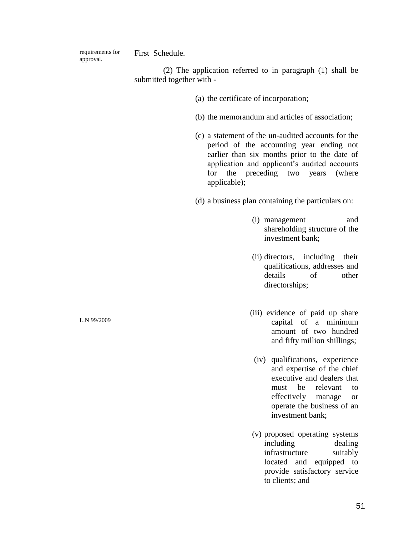requirements for approval.

First Schedule.

(2) The application referred to in paragraph (1) shall be submitted together with -

- (a) the certificate of incorporation;
- (b) the memorandum and articles of association;
- (c) a statement of the un-audited accounts for the period of the accounting year ending not earlier than six months prior to the date of application and applicant's audited accounts for the preceding two years (where applicable);

(d) a business plan containing the particulars on:

- (i) management and shareholding structure of the investment bank;
- (ii) directors, including their qualifications, addresses and details of other directorships;
- (iii) evidence of paid up share capital of a minimum amount of two hundred and fifty million shillings;
- (iv) qualifications, experience and expertise of the chief executive and dealers that must be relevant to effectively manage or operate the business of an investment bank;
- (v) proposed operating systems including dealing infrastructure suitably located and equipped to provide satisfactory service to clients; and

L.N 99/2009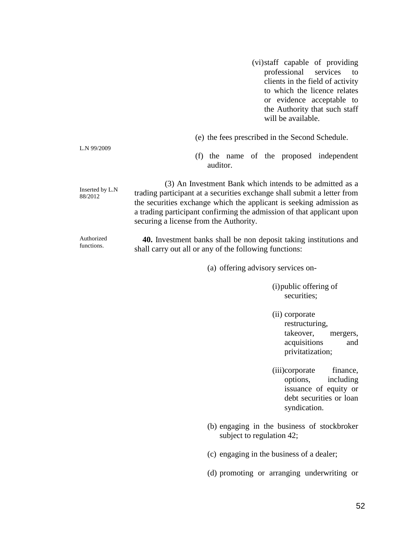(vi)staff capable of providing professional services to clients in the field of activity to which the licence relates or evidence acceptable to the Authority that such staff will be available.

(f) the name of the proposed independent auditor.

Inserted by L.N 88/2012 (3) An Investment Bank which intends to be admitted as a trading participant at a securities exchange shall submit a letter from the securities exchange which the applicant is seeking admission as a trading participant confirming the admission of that applicant upon securing a license from the Authority.

L.N 99/2009

Authorized functions. **40.** Investment banks shall be non deposit taking institutions and shall carry out all or any of the following functions:

(a) offering advisory services on-

(i)public offering of securities;

- (ii) corporate restructuring, takeover, mergers, acquisitions and privitatization;
- (iii)corporate finance, options, including issuance of equity or debt securities or loan syndication.
- (b) engaging in the business of stockbroker subject to regulation 42;
- (c) engaging in the business of a dealer;
- (d) promoting or arranging underwriting or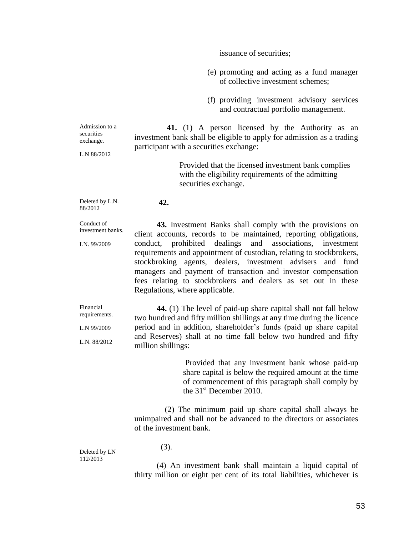issuance of securities;

- (e) promoting and acting as a fund manager of collective investment schemes;
- (f) providing investment advisory services and contractual portfolio management.

Admission to a securities exchange.  **41.** (1) A person licensed by the Authority as an investment bank shall be eligible to apply for admission as a trading participant with a securities exchange:

L.N 88/2012

Provided that the licensed investment bank complies with the eligibility requirements of the admitting securities exchange.

Deleted by L.N. 88/2012

Conduct of investment banks.

LN. 99/2009

 **43.** Investment Banks shall comply with the provisions on client accounts, records to be maintained, reporting obligations, conduct, prohibited dealings and associations, investment requirements and appointment of custodian, relating to stockbrokers, stockbroking agents, dealers, investment advisers and fund managers and payment of transaction and investor compensation fees relating to stockbrokers and dealers as set out in these Regulations, where applicable.

Financial requirements.

L.N 99/2009

L.N. 88/2012

 **44.** (1) The level of paid-up share capital shall not fall below two hundred and fifty million shillings at any time during the licence period and in addition, shareholder's funds (paid up share capital and Reserves) shall at no time fall below two hundred and fifty million shillings:

> Provided that any investment bank whose paid-up share capital is below the required amount at the time of commencement of this paragraph shall comply by the 31<sup>st</sup> December 2010.

 (2) The minimum paid up share capital shall always be unimpaired and shall not be advanced to the directors or associates of the investment bank.

Deleted by LN 112/2013

(3).

**42.**

 (4) An investment bank shall maintain a liquid capital of thirty million or eight per cent of its total liabilities, whichever is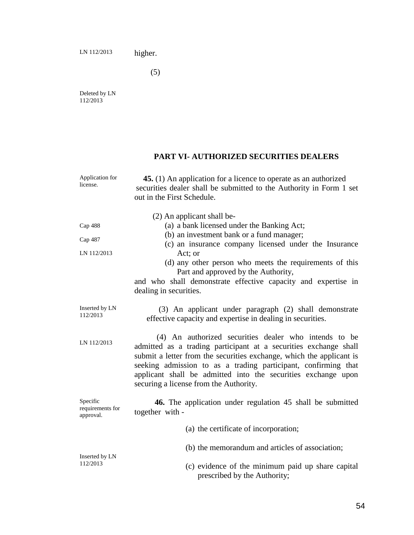higher.

(5)

Deleted by LN 112/2013

# **PART VI- AUTHORIZED SECURITIES DEALERS**

| Application for<br>license.               | 45. (1) An application for a licence to operate as an authorized<br>securities dealer shall be submitted to the Authority in Form 1 set<br>out in the First Schedule.                                                                                                                                                                                                                  |
|-------------------------------------------|----------------------------------------------------------------------------------------------------------------------------------------------------------------------------------------------------------------------------------------------------------------------------------------------------------------------------------------------------------------------------------------|
| Cap 488<br>Cap 487<br>LN 112/2013         | (2) An applicant shall be-<br>(a) a bank licensed under the Banking Act;<br>(b) an investment bank or a fund manager;<br>(c) an insurance company licensed under the Insurance<br>Act; or<br>(d) any other person who meets the requirements of this<br>Part and approved by the Authority,<br>and who shall demonstrate effective capacity and expertise in<br>dealing in securities. |
| Inserted by LN<br>112/2013                | (3) An applicant under paragraph (2) shall demonstrate<br>effective capacity and expertise in dealing in securities.                                                                                                                                                                                                                                                                   |
| LN 112/2013                               | (4) An authorized securities dealer who intends to be<br>admitted as a trading participant at a securities exchange shall<br>submit a letter from the securities exchange, which the applicant is<br>seeking admission to as a trading participant, confirming that<br>applicant shall be admitted into the securities exchange upon<br>securing a license from the Authority.         |
| Specific<br>requirements for<br>approval. | 46. The application under regulation 45 shall be submitted<br>together with -                                                                                                                                                                                                                                                                                                          |
|                                           | (a) the certificate of incorporation;                                                                                                                                                                                                                                                                                                                                                  |
| Inserted by LN<br>112/2013                | (b) the memorandum and articles of association;                                                                                                                                                                                                                                                                                                                                        |
|                                           | (c) evidence of the minimum paid up share capital<br>prescribed by the Authority;                                                                                                                                                                                                                                                                                                      |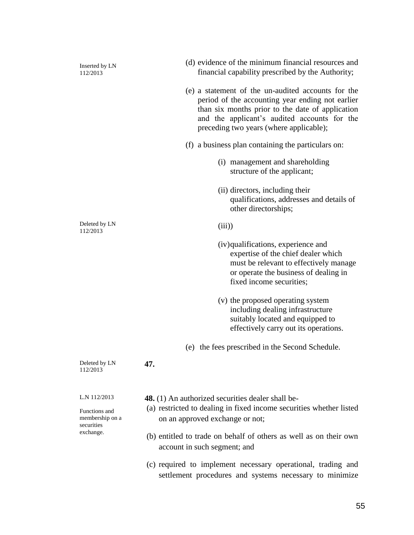Inserted by LN 112/2013 Deleted by LN 112/2013 (d) evidence of the minimum financial resources and financial capability prescribed by the Authority; (e) a statement of the un-audited accounts for the period of the accounting year ending not earlier than six months prior to the date of application and the applicant's audited accounts for the preceding two years (where applicable); (f) a business plan containing the particulars on: (i) management and shareholding structure of the applicant; (ii) directors, including their qualifications, addresses and details of other directorships;  $(iii)$ (iv)qualifications, experience and expertise of the chief dealer which must be relevant to effectively manage or operate the business of dealing in fixed income securities; (v) the proposed operating system including dealing infrastructure suitably located and equipped to effectively carry out its operations. (e) the fees prescribed in the Second Schedule. Deleted by LN 112/2013 **47.** L.N 112/2013 Functions and membership on a securities exchange.  **48.** (1) An authorized securities dealer shall be- (a) restricted to dealing in fixed income securities whether listed on an approved exchange or not; (b) entitled to trade on behalf of others as well as on their own account in such segment; and (c) required to implement necessary operational, trading and settlement procedures and systems necessary to minimize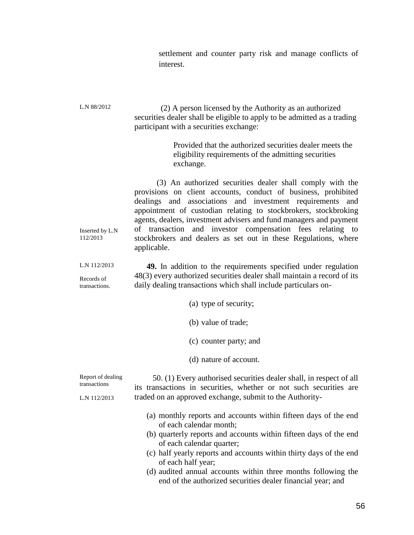settlement and counter party risk and manage conflicts of interest.

| L.N 88/2012                       | (2) A person licensed by the Authority as an authorized<br>securities dealer shall be eligible to apply to be admitted as a trading<br>participant with a securities exchange:                                                                                                                                                                                                                                                                                                      |
|-----------------------------------|-------------------------------------------------------------------------------------------------------------------------------------------------------------------------------------------------------------------------------------------------------------------------------------------------------------------------------------------------------------------------------------------------------------------------------------------------------------------------------------|
|                                   | Provided that the authorized securities dealer meets the<br>eligibility requirements of the admitting securities<br>exchange.                                                                                                                                                                                                                                                                                                                                                       |
| Inserted by L.N<br>112/2013       | (3) An authorized securities dealer shall comply with the<br>provisions on client accounts, conduct of business, prohibited<br>dealings and associations and investment requirements and<br>appointment of custodian relating to stockbrokers, stockbroking<br>agents, dealers, investment advisers and fund managers and payment<br>and investor compensation fees relating to<br>of transaction<br>stockbrokers and dealers as set out in these Regulations, where<br>applicable. |
| L.N 112/2013                      | 49. In addition to the requirements specified under regulation<br>48(3) every authorized securities dealer shall maintain a record of its                                                                                                                                                                                                                                                                                                                                           |
| Records of<br>transactions.       | daily dealing transactions which shall include particulars on-                                                                                                                                                                                                                                                                                                                                                                                                                      |
|                                   | (a) type of security;                                                                                                                                                                                                                                                                                                                                                                                                                                                               |
|                                   | (b) value of trade;                                                                                                                                                                                                                                                                                                                                                                                                                                                                 |
|                                   | (c) counter party; and                                                                                                                                                                                                                                                                                                                                                                                                                                                              |
|                                   | (d) nature of account.                                                                                                                                                                                                                                                                                                                                                                                                                                                              |
| Report of dealing<br>transactions | 50. (1) Every authorised securities dealer shall, in respect of all<br>its transactions in securities, whether or not such securities are                                                                                                                                                                                                                                                                                                                                           |
| L.N 112/2013                      | traded on an approved exchange, submit to the Authority-                                                                                                                                                                                                                                                                                                                                                                                                                            |
|                                   | (a) monthly reports and accounts within fifteen days of the end<br>of each calendar month;                                                                                                                                                                                                                                                                                                                                                                                          |
|                                   | (b) quarterly reports and accounts within fifteen days of the end                                                                                                                                                                                                                                                                                                                                                                                                                   |
|                                   | of each calendar quarter;<br>(c) half yearly reports and accounts within thirty days of the end<br>of each half year;                                                                                                                                                                                                                                                                                                                                                               |
|                                   | (d) audited annual accounts within three months following the<br>end of the authorized securities dealer financial year; and                                                                                                                                                                                                                                                                                                                                                        |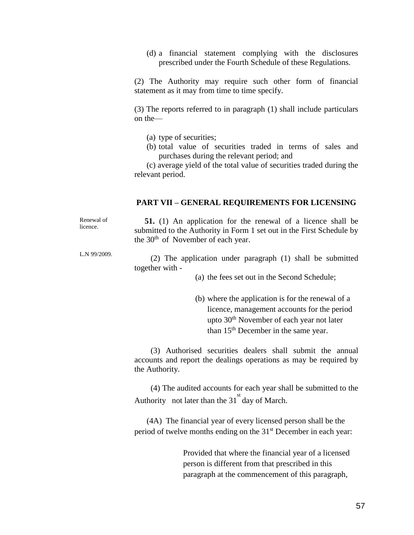(d) a financial statement complying with the disclosures prescribed under the Fourth Schedule of these Regulations.

(2) The Authority may require such other form of financial statement as it may from time to time specify.

(3) The reports referred to in paragraph (1) shall include particulars on the—

- (a) type of securities;
- (b) total value of securities traded in terms of sales and purchases during the relevant period; and

 (c) average yield of the total value of securities traded during the relevant period.

#### **PART VII – GENERAL REQUIREMENTS FOR LICENSING**

Renewal of licence.

**51.** (1) An application for the renewal of a licence shall be submitted to the Authority in Form 1 set out in the First Schedule by the  $30<sup>th</sup>$  of November of each year.

L.N 99/2009.

 (2) The application under paragraph (1) shall be submitted together with -

(a) the fees set out in the Second Schedule;

(b) where the application is for the renewal of a licence, management accounts for the period upto 30<sup>th</sup> November of each year not later than 15<sup>th</sup> December in the same year.

 (3) Authorised securities dealers shall submit the annual accounts and report the dealings operations as may be required by the Authority.

 (4) The audited accounts for each year shall be submitted to the Authority not later than the  $31^{st}$  day of March.

 (4A) The financial year of every licensed person shall be the period of twelve months ending on the 31<sup>st</sup> December in each year:

> Provided that where the financial year of a licensed person is different from that prescribed in this paragraph at the commencement of this paragraph,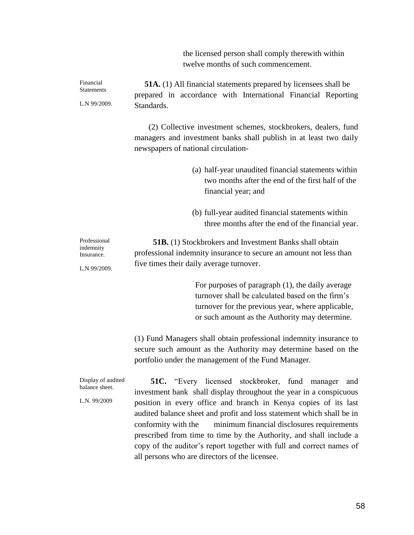the licensed person shall comply therewith within twelve months of such commencement.

Financial **Statements** L.N 99/2009. **51A.** (1) All financial statements prepared by licensees shall be prepared in accordance with International Financial Reporting Standards. (2) Collective investment schemes, stockbrokers, dealers, fund managers and investment banks shall publish in at least two daily newspapers of national circulation- (a) half-year unaudited financial statements within two months after the end of the first half of the financial year; and (b) full-year audited financial statements within three months after the end of the financial year. Professional indemnity Insurance. L.N 99/2009. **51B.** (1) Stockbrokers and Investment Banks shall obtain professional indemnity insurance to secure an amount not less than five times their daily average turnover. For purposes of paragraph (1), the daily average turnover shall be calculated based on the firm's turnover for the previous year, where applicable, or such amount as the Authority may determine. (1) Fund Managers shall obtain professional indemnity insurance to secure such amount as the Authority may determine based on the

Display of audited balance sheet. L.N. 99/2009 **51C.** "Every licensed stockbroker, fund manager and investment bank shall display throughout the year in a conspicuous position in every office and branch in Kenya copies of its last audited balance sheet and profit and loss statement which shall be in conformity with the minimum financial disclosures requirements prescribed from time to time by the Authority, and shall include a copy of the auditor's report together with full and correct names of all persons who are directors of the licensee.

portfolio under the management of the Fund Manager.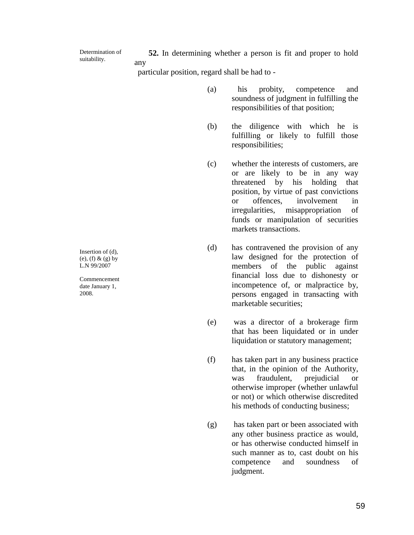Determination of suitability.

 **52.** In determining whether a person is fit and proper to hold any

particular position, regard shall be had to -

- (a) his probity, competence and soundness of judgment in fulfilling the responsibilities of that position;
- (b) the diligence with which he is fulfilling or likely to fulfill those responsibilities;
- (c) whether the interests of customers, are or are likely to be in any way threatened by his holding that position, by virtue of past convictions or offences, involvement in irregularities, misappropriation of funds or manipulation of securities markets transactions.
- (d) has contravened the provision of any law designed for the protection of members of the public against financial loss due to dishonesty or incompetence of, or malpractice by, persons engaged in transacting with marketable securities;
- (e) was a director of a brokerage firm that has been liquidated or in under liquidation or statutory management;
- (f) has taken part in any business practice that, in the opinion of the Authority, was fraudulent, prejudicial or otherwise improper (whether unlawful or not) or which otherwise discredited his methods of conducting business;
- (g) has taken part or been associated with any other business practice as would, or has otherwise conducted himself in such manner as to, cast doubt on his competence and soundness of judgment.

Insertion of (d), (e), (f)  $& (g)$  by L.N 99/2007

Commencement date January 1, 2008.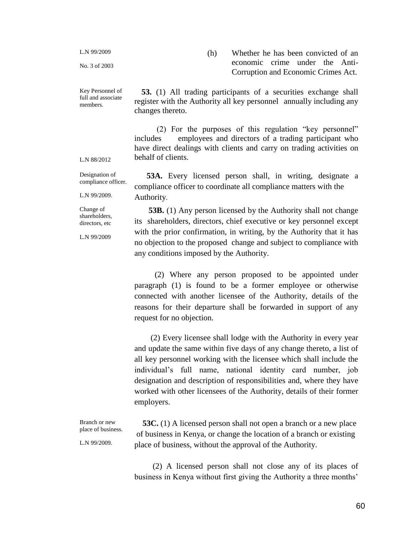L.N 99/2009

No. 3 of 2003

Key Personnel of full and associate members.

(h) Whether he has been convicted of an economic crime under the Anti-Corruption and Economic Crimes Act.

 **53.** (1) All trading participants of a securities exchange shall register with the Authority all key personnelannually including any changes thereto.

 (2) For the purposes of this regulation "key personnel" includes employees and directors of a trading participant who have direct dealings with clients and carry on trading activities on behalf of clients.

L.N 88/2012

Designation of compliance officer.

 **53A.** Every licensed person shall, in writing, designate a compliance officer to coordinate all compliance matters with the Authority.

Change of shareholders, directors, etc

L.N 99/2009.

L.N 99/2009

Branch or new place of business.

L.N 99/2009.

 **53B.** (1) Any person licensed by the Authority shall not change its shareholders, directors, chief executive or key personnel except with the prior confirmation, in writing, by the Authority that it has no objection to the proposed change and subject to compliance with any conditions imposed by the Authority.

 (2) Where any person proposed to be appointed under paragraph (1) is found to be a former employee or otherwise connected with another licensee of the Authority, details of the reasons for their departure shall be forwarded in support of any request for no objection.

 (2) Every licensee shall lodge with the Authority in every year and update the same within five days of any change thereto, a list of all key personnel working with the licensee which shall include the individual's full name, national identity card number, job designation and description of responsibilities and, where they have worked with other licensees of the Authority, details of their former employers.

 **53C.** (1) A licensed person shall not open a branch or a new place of business in Kenya, or change the location of a branch or existing place of business, without the approval of the Authority.

 (2) A licensed person shall not close any of its places of business in Kenya without first giving the Authority a three months'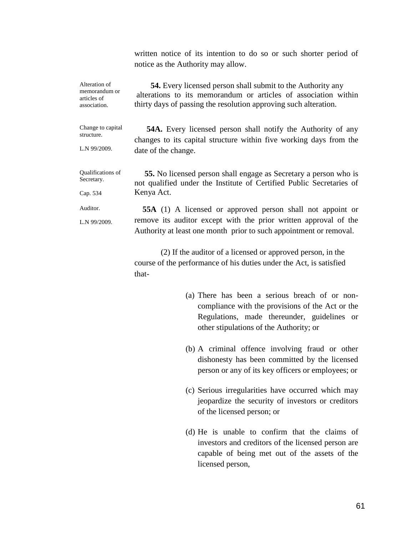written notice of its intention to do so or such shorter period of notice as the Authority may allow.

| Alteration of<br>memorandum or<br>articles of<br>association. | <b>54.</b> Every licensed person shall submit to the Authority any<br>alterations to its memorandum or articles of association within<br>thirty days of passing the resolution approving such alteration.                                                                                                                                                  |
|---------------------------------------------------------------|------------------------------------------------------------------------------------------------------------------------------------------------------------------------------------------------------------------------------------------------------------------------------------------------------------------------------------------------------------|
| Change to capital<br>structure.<br>L.N 99/2009.               | <b>54A.</b> Every licensed person shall notify the Authority of any<br>changes to its capital structure within five working days from the<br>date of the change.                                                                                                                                                                                           |
| Qualifications of<br>Secretary.<br>Cap. 534                   | <b>55.</b> No licensed person shall engage as Secretary a person who is<br>not qualified under the Institute of Certified Public Secretaries of<br>Kenya Act.                                                                                                                                                                                              |
| Auditor.<br>L.N 99/2009.                                      | <b>55A</b> (1) A licensed or approved person shall not appoint or<br>remove its auditor except with the prior written approval of the<br>Authority at least one month prior to such appointment or removal.<br>(2) If the auditor of a licensed or approved person, in the<br>course of the performance of his duties under the Act, is satisfied<br>that- |
|                                                               | (a) There has been a serious breach of or non                                                                                                                                                                                                                                                                                                              |

- (a) There has been a serious breach of or noncompliance with the provisions of the Act or the Regulations, made thereunder, guidelines or other stipulations of the Authority; or
- (b) A criminal offence involving fraud or other dishonesty has been committed by the licensed person or any of its key officers or employees; or
- (c) Serious irregularities have occurred which may jeopardize the security of investors or creditors of the licensed person; or
- (d) He is unable to confirm that the claims of investors and creditors of the licensed person are capable of being met out of the assets of the licensed person,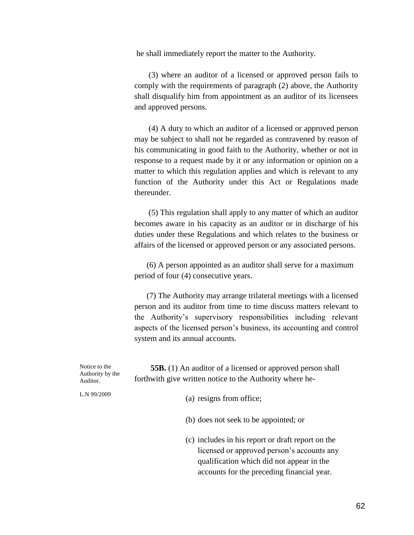he shall immediately report the matter to the Authority.

 (3) where an auditor of a licensed or approved person fails to comply with the requirements of paragraph (2) above, the Authority shall disqualify him from appointment as an auditor of its licensees and approved persons.

 (4) A duty to which an auditor of a licensed or approved person may be subject to shall not be regarded as contravened by reason of his communicating in good faith to the Authority, whether or not in response to a request made by it or any information or opinion on a matter to which this regulation applies and which is relevant to any function of the Authority under this Act or Regulations made thereunder.

 (5) This regulation shall apply to any matter of which an auditor becomes aware in his capacity as an auditor or in discharge of his duties under these Regulations and which relates to the business or affairs of the licensed or approved person or any associated persons.

 (6) A person appointed as an auditor shall serve for a maximum period of four (4) consecutive years.

 (7) The Authority may arrange trilateral meetings with a licensed person and its auditor from time to time discuss matters relevant to the Authority's supervisory responsibilities including relevant aspects of the licensed person's business, its accounting and control system and its annual accounts.

Notice to the Authority by the Auditor. L.N 99/2009  **55B.** (1) An auditor of a licensed or approved person shall forthwith give written notice to the Authority where he- (a) resigns from office; (b) does not seek to be appointed; or (c) includes in his report or draft report on the licensed or approved person's accounts any qualification which did not appear in the accounts for the preceding financial year.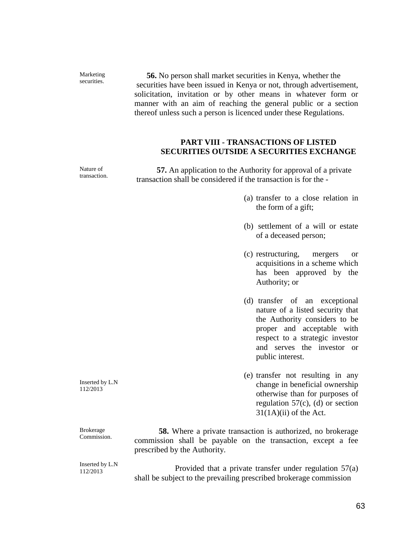**56.** No person shall market securities in Kenya, whether the securities have been issued in Kenya or not, through advertisement, solicitation, invitation or by other means in whatever form or manner with an aim of reaching the general public or a section thereof unless such a person is licenced under these Regulations.

# **PART VIII - TRANSACTIONS OF LISTED SECURITIES OUTSIDE A SECURITIES EXCHANGE**

 **57.** An application to the Authority for approval of a private transaction shall be considered if the transaction is for the -

- (a) transfer to a close relation in the form of a gift;
- (b) settlement of a will or estate of a deceased person;
- (c) restructuring, mergers or acquisitions in a scheme which has been approved by the Authority; or
- (d) transfer of an exceptional nature of a listed security that the Authority considers to be proper and acceptable with respect to a strategic investor and serves the investor or public interest.
- (e) transfer not resulting in any change in beneficial ownership otherwise than for purposes of regulation  $57(c)$ , (d) or section  $31(1A)(ii)$  of the Act.

Brokerage Commission. **58.** Where a private transaction is authorized, no brokerage commission shall be payable on the transaction, except a fee prescribed by the Authority.

Inserted by L.N 112/2013

 Provided that a private transfer under regulation 57(a) shall be subject to the prevailing prescribed brokerage commission

Inserted by L.N 112/2013

Marketing securities.

Nature of transaction.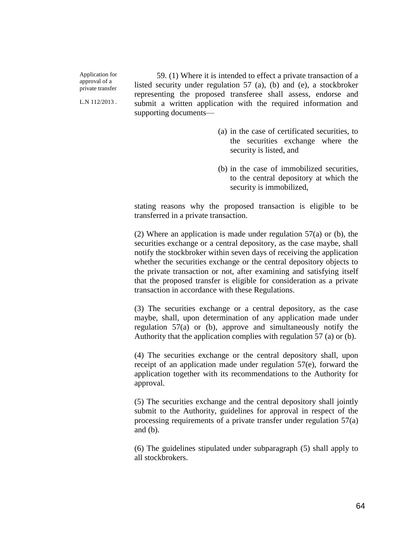Application for approval of a private transfer

L.N 112/2013 .

 59. (1) Where it is intended to effect a private transaction of a listed security under regulation 57 (a), (b) and (e), a stockbroker representing the proposed transferee shall assess, endorse and submit a written application with the required information and supporting documents—

- (a) in the case of certificated securities, to the securities exchange where the security is listed, and
- (b) in the case of immobilized securities, to the central depository at which the security is immobilized,

stating reasons why the proposed transaction is eligible to be transferred in a private transaction.

(2) Where an application is made under regulation 57(a) or (b), the securities exchange or a central depository, as the case maybe, shall notify the stockbroker within seven days of receiving the application whether the securities exchange or the central depository objects to the private transaction or not, after examining and satisfying itself that the proposed transfer is eligible for consideration as a private transaction in accordance with these Regulations.

(3) The securities exchange or a central depository, as the case maybe, shall, upon determination of any application made under regulation 57(a) or (b), approve and simultaneously notify the Authority that the application complies with regulation 57 (a) or (b).

(4) The securities exchange or the central depository shall, upon receipt of an application made under regulation 57(e), forward the application together with its recommendations to the Authority for approval.

(5) The securities exchange and the central depository shall jointly submit to the Authority, guidelines for approval in respect of the processing requirements of a private transfer under regulation 57(a) and (b).

(6) The guidelines stipulated under subparagraph (5) shall apply to all stockbrokers.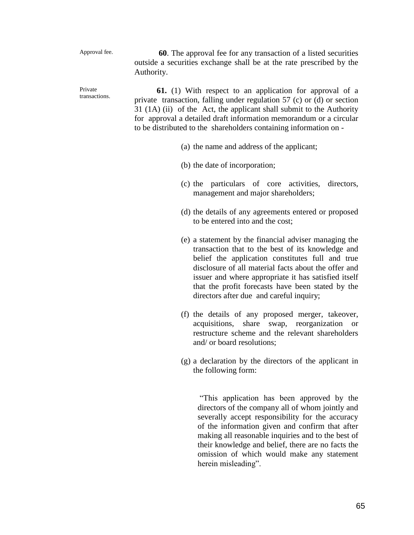#### Approval fee.

Private

 **60**. The approval fee for any transaction of a listed securities outside a securities exchange shall be at the rate prescribed by the Authority.

transactions.  **61.** (1) With respect to an application for approval of a private transaction, falling under regulation 57 (c) or (d) or section 31 (1A) (ii) of the Act, the applicant shall submit to the Authority for approval a detailed draft information memorandum or a circular to be distributed to the shareholders containing information on -

- (a) the name and address of the applicant;
- (b) the date of incorporation;
- (c) the particulars of core activities, directors, management and major shareholders;
- (d) the details of any agreements entered or proposed to be entered into and the cost;
- (e) a statement by the financial adviser managing the transaction that to the best of its knowledge and belief the application constitutes full and true disclosure of all material facts about the offer and issuer and where appropriate it has satisfied itself that the profit forecasts have been stated by the directors after due and careful inquiry;
- (f) the details of any proposed merger, takeover, acquisitions, share swap, reorganization or restructure scheme and the relevant shareholders and/ or board resolutions;
- (g) a declaration by the directors of the applicant in the following form:

"This application has been approved by the directors of the company all of whom jointly and severally accept responsibility for the accuracy of the information given and confirm that after making all reasonable inquiries and to the best of their knowledge and belief, there are no facts the omission of which would make any statement herein misleading".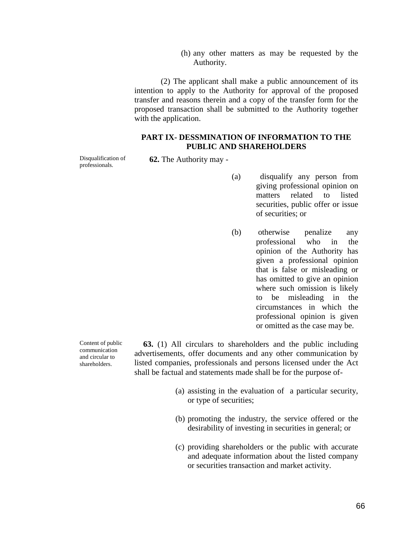(h) any other matters as may be requested by the Authority.

 (2) The applicant shall make a public announcement of its intention to apply to the Authority for approval of the proposed transfer and reasons therein and a copy of the transfer form for the proposed transaction shall be submitted to the Authority together with the application.

## **PART IX- DESSMINATION OF INFORMATION TO THE PUBLIC AND SHAREHOLDERS**

Disqualification of professionals.

**62.** The Authority may -

- (a) disqualify any person from giving professional opinion on matters related to listed securities, public offer or issue of securities; or
- (b) otherwise penalize any professional who in the opinion of the Authority has given a professional opinion that is false or misleading or has omitted to give an opinion where such omission is likely to be misleading in the circumstances in which the professional opinion is given or omitted as the case may be.

Content of public communication and circular to shareholders.

 **63.** (1) All circulars to shareholders and the public including advertisements, offer documents and any other communication by listed companies, professionals and persons licensed under the Act shall be factual and statements made shall be for the purpose of-

- (a) assisting in the evaluation of a particular security, or type of securities;
- (b) promoting the industry, the service offered or the desirability of investing in securities in general; or
- (c) providing shareholders or the public with accurate and adequate information about the listed company or securities transaction and market activity.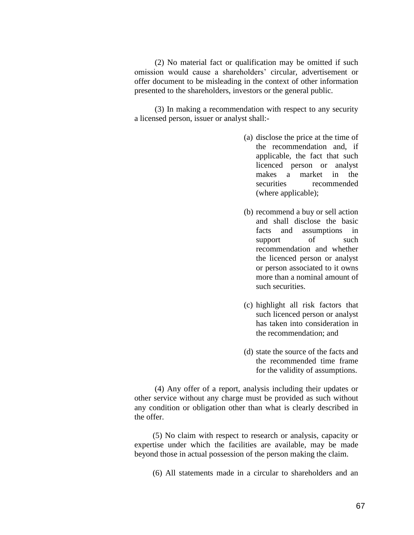(2) No material fact or qualification may be omitted if such omission would cause a shareholders' circular, advertisement or offer document to be misleading in the context of other information presented to the shareholders, investors or the general public.

 (3) In making a recommendation with respect to any security a licensed person, issuer or analyst shall:-

- (a) disclose the price at the time of the recommendation and, if applicable, the fact that such licenced person or analyst makes a market in the securities recommended (where applicable);
- (b) recommend a buy or sell action and shall disclose the basic facts and assumptions in support of such recommendation and whether the licenced person or analyst or person associated to it owns more than a nominal amount of such securities.
- (c) highlight all risk factors that such licenced person or analyst has taken into consideration in the recommendation; and
- (d) state the source of the facts and the recommended time frame for the validity of assumptions.

 (4) Any offer of a report, analysis including their updates or other service without any charge must be provided as such without any condition or obligation other than what is clearly described in the offer.

 (5) No claim with respect to research or analysis, capacity or expertise under which the facilities are available, may be made beyond those in actual possession of the person making the claim.

(6) All statements made in a circular to shareholders and an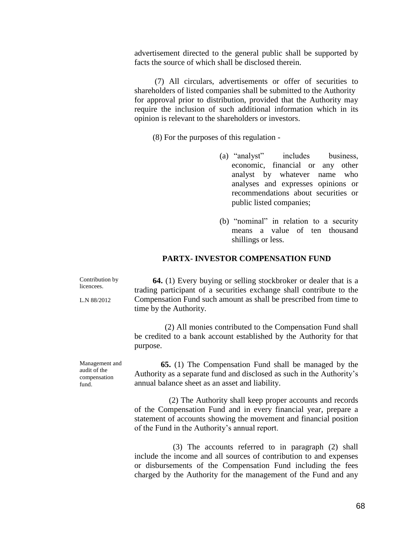advertisement directed to the general public shall be supported by facts the source of which shall be disclosed therein.

 (7) All circulars, advertisements or offer of securities to shareholders of listed companies shall be submitted to the Authority for approval prior to distribution, provided that the Authority may require the inclusion of such additional information which in its opinion is relevant to the shareholders or investors.

(8) For the purposes of this regulation -

- (a) "analyst" includes business, economic, financial or any other analyst by whatever name who analyses and expresses opinions or recommendations about securities or public listed companies;
- (b) "nominal" in relation to a security means a value of ten thousand shillings or less.

# **PARTX- INVESTOR COMPENSATION FUND**

Contribution by licencees. L.N 88/2012 **64.** (1) Every buying or selling stockbroker or dealer that is a trading participant of a securities exchange shall contribute to the Compensation Fund such amount as shall be prescribed from time to time by the Authority.

> (2) All monies contributed to the Compensation Fund shall be credited to a bank account established by the Authority for that purpose.

Management and audit of the compensation fund.

 **65.** (1) The Compensation Fund shall be managed by the Authority as a separate fund and disclosed as such in the Authority's annual balance sheet as an asset and liability.

 (2) The Authority shall keep proper accounts and records of the Compensation Fund and in every financial year, prepare a statement of accounts showing the movement and financial position of the Fund in the Authority's annual report.

 (3) The accounts referred to in paragraph (2) shall include the income and all sources of contribution to and expenses or disbursements of the Compensation Fund including the fees charged by the Authority for the management of the Fund and any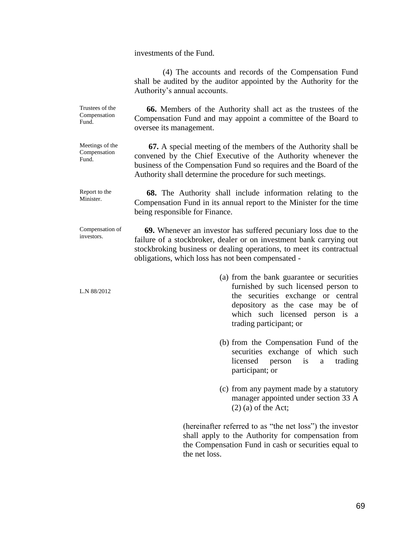investments of the Fund.

 (4) The accounts and records of the Compensation Fund shall be audited by the auditor appointed by the Authority for the Authority's annual accounts.

 **66.** Members of the Authority shall act as the trustees of the Compensation Fund and may appoint a committee of the Board to oversee its management.

> **67.** A special meeting of the members of the Authority shall be convened by the Chief Executive of the Authority whenever the business of the Compensation Fund so requires and the Board of the Authority shall determine the procedure for such meetings.

Report to the Minister. **68.** The Authority shall include information relating to the Compensation Fund in its annual report to the Minister for the time being responsible for Finance.

Compensation of investors. **69.** Whenever an investor has suffered pecuniary loss due to the failure of a stockbroker, dealer or on investment bank carrying out stockbroking business or dealing operations, to meet its contractual obligations, which loss has not been compensated -

- (a) from the bank guarantee or securities furnished by such licensed person to the securities exchange or central depository as the case may be of which such licensed person is a trading participant; or
- (b) from the Compensation Fund of the securities exchange of which such licensed person is a trading participant; or
- (c) from any payment made by a statutory manager appointed under section 33 A  $(2)$  (a) of the Act;

(hereinafter referred to as "the net loss") the investor shall apply to the Authority for compensation from the Compensation Fund in cash or securities equal to the net loss.

Trustees of the Compensation Fund.

Meetings of the Compensation Fund.

L.N 88/2012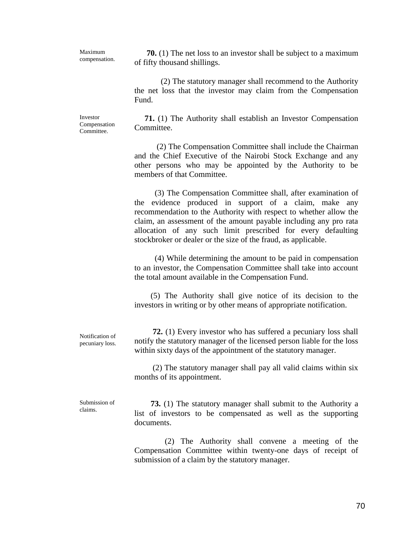Maximum compensation.

 **70.** (1) The net loss to an investor shall be subject to a maximum of fifty thousand shillings.

 (2) The statutory manager shall recommend to the Authority the net loss that the investor may claim from the Compensation Fund.

Investor Compensation Committee.

 **71.** (1) The Authority shall establish an Investor Compensation Committee.

 (2) The Compensation Committee shall include the Chairman and the Chief Executive of the Nairobi Stock Exchange and any other persons who may be appointed by the Authority to be members of that Committee.

 (3) The Compensation Committee shall, after examination of the evidence produced in support of a claim, make any recommendation to the Authority with respect to whether allow the claim, an assessment of the amount payable including any pro rata allocation of any such limit prescribed for every defaulting stockbroker or dealer or the size of the fraud, as applicable.

 (4) While determining the amount to be paid in compensation to an investor, the Compensation Committee shall take into account the total amount available in the Compensation Fund.

 (5) The Authority shall give notice of its decision to the investors in writing or by other means of appropriate notification.

 **72.** (1) Every investor who has suffered a pecuniary loss shall notify the statutory manager of the licensed person liable for the loss within sixty days of the appointment of the statutory manager.

 (2) The statutory manager shall pay all valid claims within six months of its appointment.

Submission of claims.

Notification of pecuniary loss.

> **73.** (1) The statutory manager shall submit to the Authority a list of investors to be compensated as well as the supporting documents.

> (2) The Authority shall convene a meeting of the Compensation Committee within twenty-one days of receipt of submission of a claim by the statutory manager.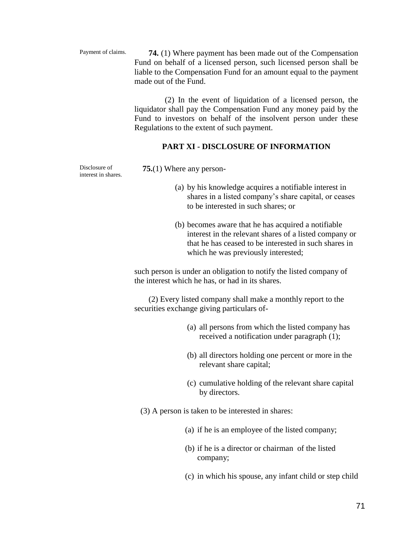Payment of claims.

 **74.** (1) Where payment has been made out of the Compensation Fund on behalf of a licensed person, such licensed person shall be liable to the Compensation Fund for an amount equal to the payment made out of the Fund.

 (2) In the event of liquidation of a licensed person, the liquidator shall pay the Compensation Fund any money paid by the Fund to investors on behalf of the insolvent person under these Regulations to the extent of such payment.

## **PART XI - DISCLOSURE OF INFORMATION**

Disclosure of interest in shares.  **75.**(1) Where any person-

- (a) by his knowledge acquires a notifiable interest in shares in a listed company's share capital, or ceases to be interested in such shares; or
- (b) becomes aware that he has acquired a notifiable interest in the relevant shares of a listed company or that he has ceased to be interested in such shares in which he was previously interested;

such person is under an obligation to notify the listed company of the interest which he has, or had in its shares.

 (2) Every listed company shall make a monthly report to the securities exchange giving particulars of-

- (a) all persons from which the listed company has received a notification under paragraph (1);
- (b) all directors holding one percent or more in the relevant share capital;
- (c) cumulative holding of the relevant share capital by directors.
- (3) A person is taken to be interested in shares:
	- (a) if he is an employee of the listed company;
	- (b) if he is a director or chairman of the listed company;
	- (c) in which his spouse, any infant child or step child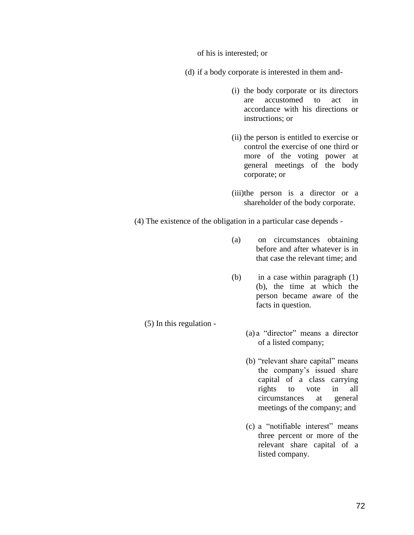of his is interested; or

(d) if a body corporate is interested in them and-

- (i) the body corporate or its directors are accustomed to act in accordance with his directions or instructions; or
- (ii) the person is entitled to exercise or control the exercise of one third or more of the voting power at general meetings of the body corporate; or
- (iii)the person is a director or a shareholder of the body corporate.

(4) The existence of the obligation in a particular case depends -

(5) In this regulation -

- (a) on circumstances obtaining before and after whatever is in that case the relevant time; and
- (b) in a case within paragraph (1) (b), the time at which the person became aware of the facts in question.
	- (a) a "director" means a director of a listed company;
		- (b) "relevant share capital" means the company's issued share capital of a class carrying rights to vote in all circumstances at general meetings of the company; and
		- (c) a "notifiable interest" means three percent or more of the relevant share capital of a listed company.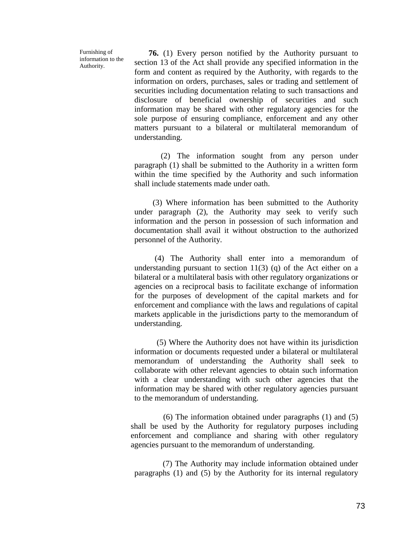Furnishing of information to the Authority.

 **76.** (1) Every person notified by the Authority pursuant to section 13 of the Act shall provide any specified information in the form and content as required by the Authority, with regards to the information on orders, purchases, sales or trading and settlement of securities including documentation relating to such transactions and disclosure of beneficial ownership of securities and such information may be shared with other regulatory agencies for the sole purpose of ensuring compliance, enforcement and any other matters pursuant to a bilateral or multilateral memorandum of understanding.

 (2) The information sought from any person under paragraph (1) shall be submitted to the Authority in a written form within the time specified by the Authority and such information shall include statements made under oath.

 (3) Where information has been submitted to the Authority under paragraph (2), the Authority may seek to verify such information and the person in possession of such information and documentation shall avail it without obstruction to the authorized personnel of the Authority.

 (4) The Authority shall enter into a memorandum of understanding pursuant to section  $11(3)$  (q) of the Act either on a bilateral or a multilateral basis with other regulatory organizations or agencies on a reciprocal basis to facilitate exchange of information for the purposes of development of the capital markets and for enforcement and compliance with the laws and regulations of capital markets applicable in the jurisdictions party to the memorandum of understanding.

 (5) Where the Authority does not have within its jurisdiction information or documents requested under a bilateral or multilateral memorandum of understanding the Authority shall seek to collaborate with other relevant agencies to obtain such information with a clear understanding with such other agencies that the information may be shared with other regulatory agencies pursuant to the memorandum of understanding.

 (6) The information obtained under paragraphs (1) and (5) shall be used by the Authority for regulatory purposes including enforcement and compliance and sharing with other regulatory agencies pursuant to the memorandum of understanding.

 (7) The Authority may include information obtained under paragraphs (1) and (5) by the Authority for its internal regulatory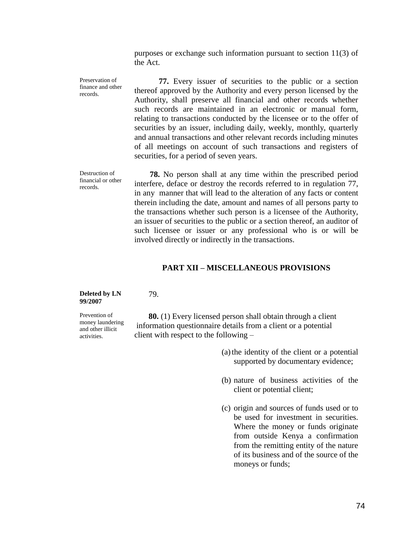purposes or exchange such information pursuant to section 11(3) of the Act.

Preservation of finance and other records.  **77.** Every issuer of securities to the public or a section thereof approved by the Authority and every person licensed by the Authority, shall preserve all financial and other records whether such records are maintained in an electronic or manual form, relating to transactions conducted by the licensee or to the offer of securities by an issuer, including daily, weekly, monthly, quarterly and annual transactions and other relevant records including minutes of all meetings on account of such transactions and registers of securities, for a period of seven years.

Destruction of financial or other records.

 **78.** No person shall at any time within the prescribed period interfere, deface or destroy the records referred to in regulation 77, in any manner that will lead to the alteration of any facts or content therein including the date, amount and names of all persons party to the transactions whether such person is a licensee of the Authority, an issuer of securities to the public or a section thereof, an auditor of such licensee or issuer or any professional who is or will be involved directly or indirectly in the transactions.

#### **PART XII – MISCELLANEOUS PROVISIONS**

#### **Deleted by LN 99/2007**

79.

Prevention of money laundering and other illicit activities.

 **80.** (1) Every licensed person shall obtain through a client information questionnaire details from a client or a potential client with respect to the following –

- (a)the identity of the client or a potential supported by documentary evidence;
- (b) nature of business activities of the client or potential client;
- (c) origin and sources of funds used or to be used for investment in securities. Where the money or funds originate from outside Kenya a confirmation from the remitting entity of the nature of its business and of the source of the moneys or funds;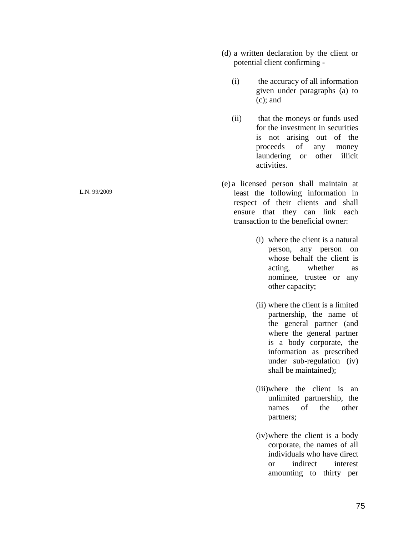- (d) a written declaration by the client or potential client confirming -
	- (i) the accuracy of all information given under paragraphs (a) to (c); and
	- (ii) that the moneys or funds used for the investment in securities is not arising out of the proceeds of any money laundering or other illicit activities.
- (e) a licensed person shall maintain at least the following information in respect of their clients and shall ensure that they can link each transaction to the beneficial owner:
	- (i) where the client is a natural person, any person on whose behalf the client is acting, whether as nominee, trustee or any other capacity;
	- (ii) where the client is a limited partnership, the name of the general partner (and where the general partner is a body corporate, the information as prescribed under sub-regulation (iv) shall be maintained);
	- (iii)where the client is an unlimited partnership, the names of the other partners;
	- (iv)where the client is a body corporate, the names of all individuals who have direct or indirect interest amounting to thirty per

L.N. 99/2009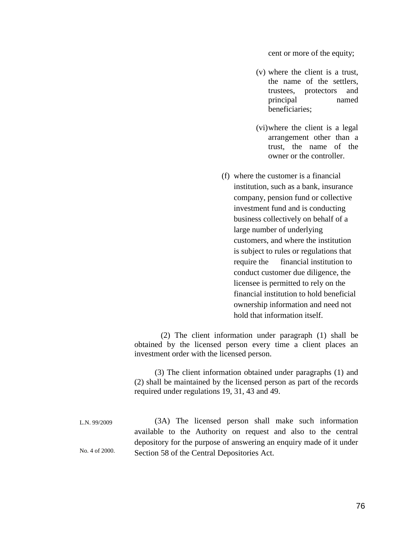cent or more of the equity;

- (v) where the client is a trust, the name of the settlers, trustees, protectors and principal named beneficiaries;
- (vi)where the client is a legal arrangement other than a trust, the name of the owner or the controller.
- (f) where the customer is a financial institution, such as a bank, insurance company, pension fund or collective investment fund and is conducting business collectively on behalf of a large number of underlying customers, and where the institution is subject to rules or regulations that require the financial institution to conduct customer due diligence, the licensee is permitted to rely on the financial institution to hold beneficial ownership information and need not hold that information itself.

 (2) The client information under paragraph (1) shall be obtained by the licensed person every time a client places an investment order with the licensed person.

 (3) The client information obtained under paragraphs (1) and (2) shall be maintained by the licensed person as part of the records required under regulations 19, 31, 43 and 49.

L.N. 99/2009 No. 4 of 2000. (3A) The licensed person shall make such information available to the Authority on request and also to the central depository for the purpose of answering an enquiry made of it under Section 58 of the Central Depositories Act.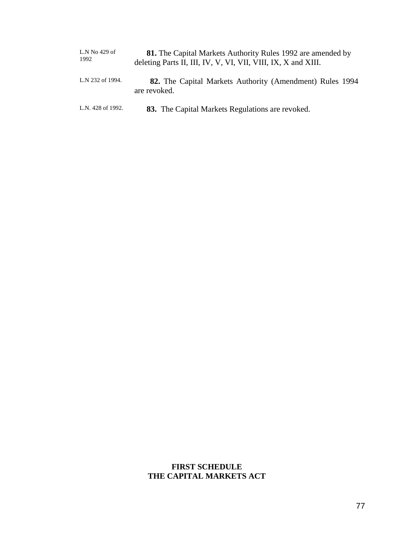| L.N No 429 of<br>1992 | <b>81.</b> The Capital Markets Authority Rules 1992 are amended by<br>deleting Parts II, III, IV, V, VI, VII, VIII, IX, X and XIII. |  |  |  |  |
|-----------------------|-------------------------------------------------------------------------------------------------------------------------------------|--|--|--|--|
| L.N 232 of 1994.      | 82. The Capital Markets Authority (Amendment) Rules 1994<br>are revoked.                                                            |  |  |  |  |
| L.N. 428 of 1992.     | 83. The Capital Markets Regulations are revoked.                                                                                    |  |  |  |  |

## **FIRST SCHEDULE THE CAPITAL MARKETS ACT**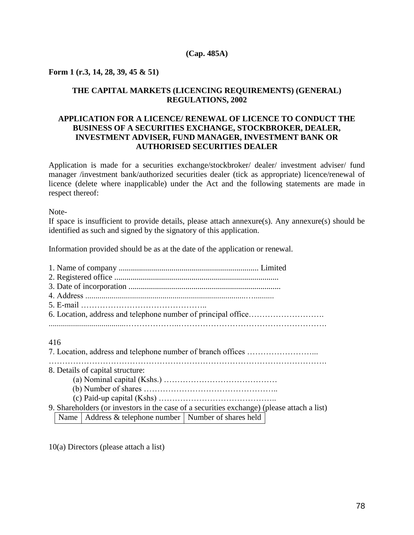#### **(Cap. 485A)**

#### **Form 1 (r.3, 14, 28, 39, 45 & 51)**

## **THE CAPITAL MARKETS (LICENCING REQUIREMENTS) (GENERAL) REGULATIONS, 2002**

## **APPLICATION FOR A LICENCE/ RENEWAL OF LICENCE TO CONDUCT THE BUSINESS OF A SECURITIES EXCHANGE, STOCKBROKER, DEALER, INVESTMENT ADVISER, FUND MANAGER, INVESTMENT BANK OR AUTHORISED SECURITIES DEALER**

Application is made for a securities exchange/stockbroker/ dealer/ investment adviser/ fund manager /investment bank/authorized securities dealer (tick as appropriate) licence/renewal of licence (delete where inapplicable) under the Act and the following statements are made in respect thereof:

Note-

If space is insufficient to provide details, please attach annexure(s). Any annexure(s) should be identified as such and signed by the signatory of this application.

Information provided should be as at the date of the application or renewal.

| 416                                                       |                                                                                            |  |  |  |  |  |
|-----------------------------------------------------------|--------------------------------------------------------------------------------------------|--|--|--|--|--|
|                                                           |                                                                                            |  |  |  |  |  |
| 8. Details of capital structure:                          |                                                                                            |  |  |  |  |  |
|                                                           |                                                                                            |  |  |  |  |  |
|                                                           |                                                                                            |  |  |  |  |  |
|                                                           |                                                                                            |  |  |  |  |  |
|                                                           | 9. Shareholders (or investors in the case of a securities exchange) (please attach a list) |  |  |  |  |  |
| Name   Address & telephone number   Number of shares held |                                                                                            |  |  |  |  |  |

10(a) Directors (please attach a list)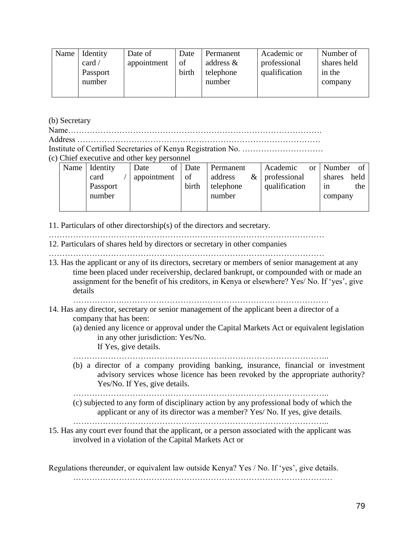| Name | Identity<br>card $/$<br>Passport<br>number | Date of<br>appointment | Date<br>of<br>birth | Permanent<br>address $\&$<br>telephone<br>number | Academic or<br>professional<br>qualification | Number of<br>shares held<br>in the<br>company |
|------|--------------------------------------------|------------------------|---------------------|--------------------------------------------------|----------------------------------------------|-----------------------------------------------|
|      |                                            |                        |                     |                                                  |                                              |                                               |

(b) Secretary

Name…………………………………………………………………………………. Address ………………………………………………………………………………

Institute of Certified Secretaries of Kenya Registration No. …………………………

(c) Chief executive and other key personnel

| Name | Identity | οf<br>Date  | Date  | Permanent | Academic<br>or    | Number<br>- of |
|------|----------|-------------|-------|-----------|-------------------|----------------|
|      | card     | appointment | of    | address   | $\&$ professional | held<br>shares |
|      | Passport |             | birth | telephone | qualification     | the<br>1n      |
|      | number   |             |       | number    |                   | company        |
|      |          |             |       |           |                   |                |

11. Particulars of other directorship(s) of the directors and secretary.

…………………………………………………………………………………………

12. Particulars of shares held by directors or secretary in other companies …………………………………………………………………………………………

13. Has the applicant or any of its directors, secretary or members of senior management at any time been placed under receivership, declared bankrupt, or compounded with or made an assignment for the benefit of his creditors, in Kenya or elsewhere? Yes/ No. If 'yes', give details

……………….………………………………………………………………….

- 14. Has any director, secretary or senior management of the applicant been a director of a company that has been:
	- (a) denied any licence or approval under the Capital Markets Act or equivalent legislation in any other jurisdiction: Yes/No. If Yes, give details.

…………………………………………………………………………………..

(b) a director of a company providing banking, insurance, financial or investment advisory services whose licence has been revoked by the appropriate authority? Yes/No. If Yes, give details.

…………………………………………………………………………………..

- (c) subjected to any form of disciplinary action by any professional body of which the applicant or any of its director was a member? Yes/ No. If yes, give details.
- ………………………………………………………………………………….. 15. Has any court ever found that the applicant, or a person associated with the applicant was involved in a violation of the Capital Markets Act or

Regulations thereunder, or equivalent law outside Kenya? Yes / No. If 'yes', give details. ……………………………………………………………………………………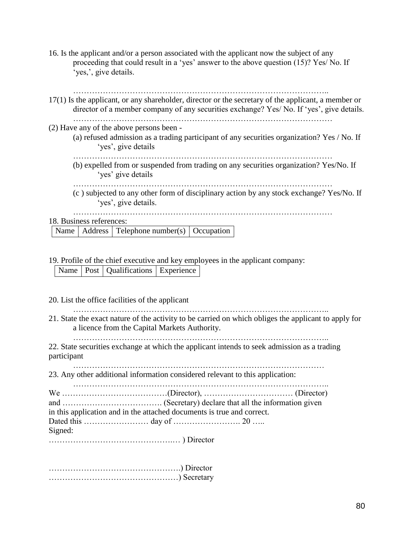16. Is the applicant and/or a person associated with the applicant now the subject of any proceeding that could result in a 'yes' answer to the above question (15)? Yes/ No. If 'yes,', give details.

| 17(1) Is the applicant, or any shareholder, director or the secretary of the applicant, a member or<br>director of a member company of any securities exchange? Yes/ No. If 'yes', give details. |
|--------------------------------------------------------------------------------------------------------------------------------------------------------------------------------------------------|
| (2) Have any of the above persons been -<br>(a) refused admission as a trading participant of any securities organization? Yes / No. If<br>'yes', give details                                   |
| (b) expelled from or suspended from trading on any securities organization? Yes/No. If<br>'yes' give details                                                                                     |
| (c) subjected to any other form of disciplinary action by any stock exchange? Yes/No. If<br>'yes', give details.                                                                                 |
| 18. Business references:                                                                                                                                                                         |

|  | Name   Address   Telephone number(s)   Occupation |  |
|--|---------------------------------------------------|--|

19. Profile of the chief executive and key employees in the applicant company:

Name | Post | Qualifications | Experience

20. List the office facilities of the applicant

………………………………………………………………………………….. 21. State the exact nature of the activity to be carried on which obliges the applicant to apply for

a licence from the Capital Markets Authority.

…………………………………………………………………………………..

22. State securities exchange at which the applicant intends to seek admission as a trading participant

………………………………………………………………………………… 23. Any other additional information considered relevant to this application:

………………………………………………………………………………….. We …………………………………(Director), …………………………… (Director) and ………………………………. (Secretary) declare that all the information given in this application and in the attached documents is true and correct. Dated this …………………… day of ……………………. 20 ….. Signed: ……………………………………….… ) Director

………………………………………….) Director …………………………………………) Secretary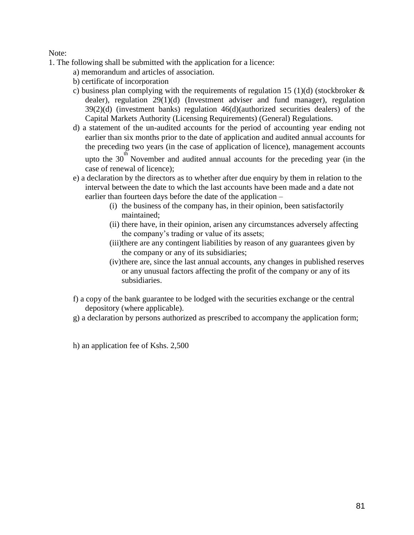Note:

- 1. The following shall be submitted with the application for a licence:
	- a) memorandum and articles of association.
	- b) certificate of incorporation
	- c) business plan complying with the requirements of regulation 15 (1)(d) (stockbroker  $\&$ dealer), regulation 29(1)(d) (Investment adviser and fund manager), regulation  $39(2)(d)$  (investment banks) regulation  $46(d)$ (authorized securities dealers) of the Capital Markets Authority (Licensing Requirements) (General) Regulations.
	- d) a statement of the un-audited accounts for the period of accounting year ending not earlier than six months prior to the date of application and audited annual accounts for the preceding two years (in the case of application of licence), management accounts

upto the 30<sup>th</sup> November and audited annual accounts for the preceding year (in the case of renewal of licence);

- e) a declaration by the directors as to whether after due enquiry by them in relation to the interval between the date to which the last accounts have been made and a date not earlier than fourteen days before the date of the application –
	- (i) the business of the company has, in their opinion, been satisfactorily maintained;
	- (ii) there have, in their opinion, arisen any circumstances adversely affecting the company's trading or value of its assets;
	- (iii)there are any contingent liabilities by reason of any guarantees given by the company or any of its subsidiaries;
	- (iv)there are, since the last annual accounts, any changes in published reserves or any unusual factors affecting the profit of the company or any of its subsidiaries.
- f) a copy of the bank guarantee to be lodged with the securities exchange or the central depository (where applicable).
- g) a declaration by persons authorized as prescribed to accompany the application form;

h) an application fee of Kshs. 2,500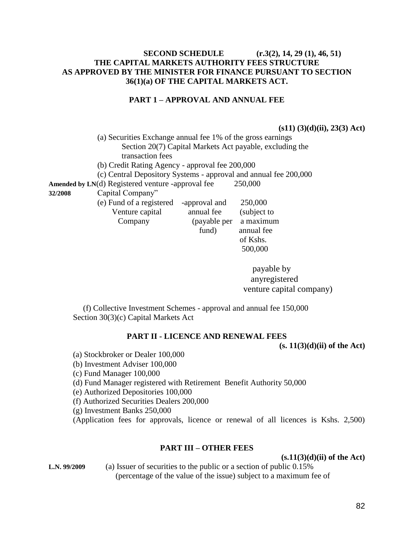## **SECOND SCHEDULE (r.3(2), 14, 29 (1), 46, 51) THE CAPITAL MARKETS AUTHORITY FEES STRUCTURE AS APPROVED BY THE MINISTER FOR FINANCE PURSUANT TO SECTION 36(1)(a) OF THE CAPITAL MARKETS ACT.**

## **PART 1 – APPROVAL AND ANNUAL FEE**

**(s11) (3)(d)(ii), 23(3) Act)** 

(a) Securities Exchange annual fee 1% of the gross earnings Section 20(7) Capital Markets Act payable, excluding the transaction fees

(b) Credit Rating Agency - approval fee 200,000

(c) Central Depository Systems - approval and annual fee 200,000

Amended by LN(d) Registered venture -approval fee 250,000

**32/2008** Capital Company"

(e) Fund of a registered -approval and 250,000

Venture capital annual fee (subject to Company (payable per a maximum fund) annual fee of Kshs. 500,000

> payable by anyregistered venture capital company)

 (f) Collective Investment Schemes - approval and annual fee 150,000 Section 30(3)(c) Capital Markets Act

## **PART II - LICENCE AND RENEWAL FEES**

**(s. 11(3)(d)(ii) of the Act)** 

- (a) Stockbroker or Dealer 100,000
- (b) Investment Adviser 100,000
- (c) Fund Manager 100,000

(d) Fund Manager registered with Retirement Benefit Authority 50,000

(e) Authorized Depositories 100,000

(f) Authorized Securities Dealers 200,000

(g) Investment Banks 250,000

(Application fees for approvals, licence or renewal of all licences is Kshs. 2,500)

#### **PART III – OTHER FEES**

**(s.11(3)(d)(ii) of the Act)** 

**L.N. 99/2009** (a) Issuer of securities to the public or a section of public 0.15% (percentage of the value of the issue) subject to a maximum fee of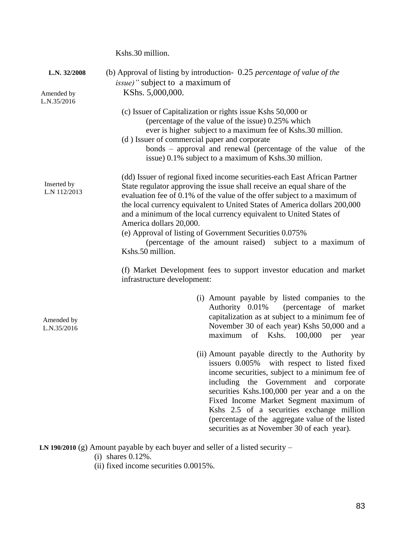Kshs.30 million. **L.N. 32/2008** (b) Approval of listing by introduction- 0.25 *percentage of value of the issue)"* subject to a maximum of KShs. 5,000,000.  L.N.35/2016 (c) Issuer of Capitalization or rights issue Kshs 50,000 or (percentage of the value of the issue) 0.25% which ever is higher subject to a maximum fee of Kshs.30 million. (d ) Issuer of commercial paper and corporate bonds – approval and renewal (percentage of the value of the issue) 0.1% subject to a maximum of Kshs.30 million. (dd) Issuer of regional fixed income securities-each East African Partner State regulator approving the issue shall receive an equal share of the evaluation fee of 0.1% of the value of the offer subject to a maximum of the local currency equivalent to United States of America dollars 200,000 and a minimum of the local currency equivalent to United States of America dollars 20,000. (e) Approval of listing of Government Securities 0.075% (percentage of the amount raised) subject to a maximum of Kshs.50 million. (f) Market Development fees to support investor education and market infrastructure development: (i) Amount payable by listed companies to the Authority 0.01% (percentage of market capitalization as at subject to a minimum fee of November 30 of each year) Kshs 50,000 and a maximum of Kshs. 100,000 per year (ii) Amount payable directly to the Authority by issuers 0.005% with respect to listed fixed income securities, subject to a minimum fee of including the Government and corporate securities Kshs.100,000 per year and a on the Fixed Income Market Segment maximum of Kshs 2.5 of a securities exchange million (percentage of the aggregate value of the listed securities as at November 30 of each year). **LN 190/2010** (g) Amount payable by each buyer and seller of a listed security – Inserted by L.N 112/2013 Amended by Amended by L.N.35/2016

(i) shares 0.12%.

(ii) fixed income securities 0.0015%.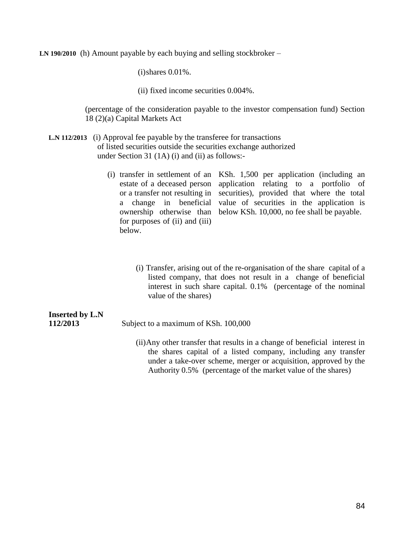**LN 190/2010** (h) Amount payable by each buying and selling stockbroker –

(i)shares 0.01%.

(ii) fixed income securities 0.004%.

(percentage of the consideration payable to the investor compensation fund) Section 18 (2)(a) Capital Markets Act

- **L.N 112/2013** (i) Approval fee payable by the transferee for transactions of listed securities outside the securities exchange authorized under Section 31 (1A) (i) and (ii) as follows:-
	- (i) transfer in settlement of an KSh. 1,500 per application (including an estate of a deceased person application relating to a portfolio of or a transfer not resulting in a change in beneficial value of securities in the application is ownership otherwise than below KSh. 10,000, no fee shall be payable. for purposes of (ii) and (iii) below. securities), provided that where the total
		- (i) Transfer, arising out of the re-organisation of the share capital of a listed company, that does not result in a change of beneficial interest in such share capital. 0.1% (percentage of the nominal value of the shares)

# **Inserted by L.N 112/2013** Subject to a maximum of KSh. 100,000 (ii)Any other transfer that results in a change of beneficial interest in

the shares capital of a listed company, including any transfer under a take-over scheme, merger or acquisition, approved by the Authority 0.5% (percentage of the market value of the shares)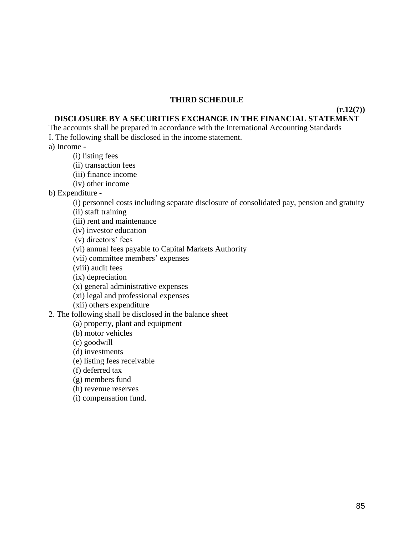### **THIRD SCHEDULE**

## **DISCLOSURE BY A SECURITIES EXCHANGE IN THE FINANCIAL STATEMENT**

The accounts shall be prepared in accordance with the International Accounting Standards I. The following shall be disclosed in the income statement.

a) Income -

- (i) listing fees
- (ii) transaction fees
- (iii) finance income
- (iv) other income

b) Expenditure -

(i) personnel costs including separate disclosure of consolidated pay, pension and gratuity

(ii) staff training

(iii) rent and maintenance

(iv) investor education

(v) directors' fees

(vi) annual fees payable to Capital Markets Authority

(vii) committee members' expenses

(viii) audit fees

(ix) depreciation

(x) general administrative expenses

(xi) legal and professional expenses

(xii) others expenditure

2. The following shall be disclosed in the balance sheet

(a) property, plant and equipment

(b) motor vehicles

(c) goodwill

(d) investments

(e) listing fees receivable

(f) deferred tax

(g) members fund

(h) revenue reserves

(i) compensation fund.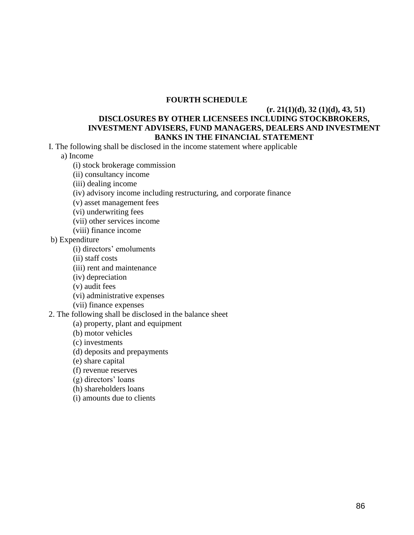## **FOURTH SCHEDULE**

## **(r. 21(1)(d), 32 (1)(d), 43, 51) DISCLOSURES BY OTHER LICENSEES INCLUDING STOCKBROKERS, INVESTMENT ADVISERS, FUND MANAGERS, DEALERS AND INVESTMENT BANKS IN THE FINANCIAL STATEMENT**

I. The following shall be disclosed in the income statement where applicable

a) Income

(i) stock brokerage commission

(ii) consultancy income

(iii) dealing income

(iv) advisory income including restructuring, and corporate finance

(v) asset management fees

(vi) underwriting fees

(vii) other services income

(viii) finance income

b) Expenditure

(i) directors' emoluments

(ii) staff costs

(iii) rent and maintenance

(iv) depreciation

(v) audit fees

(vi) administrative expenses

(vii) finance expenses

2. The following shall be disclosed in the balance sheet

(a) property, plant and equipment

(b) motor vehicles

(c) investments

(d) deposits and prepayments

(e) share capital

(f) revenue reserves

(g) directors' loans

(h) shareholders loans

(i) amounts due to clients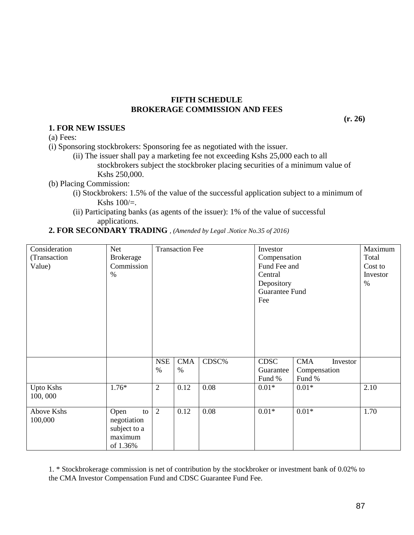### **FIFTH SCHEDULE BROKERAGE COMMISSION AND FEES**

**(r. 26)** 

#### **1. FOR NEW ISSUES**  (a) Fees:

(i) Sponsoring stockbrokers: Sponsoring fee as negotiated with the issuer.

(ii) The issuer shall pay a marketing fee not exceeding Kshs 25,000 each to all stockbrokers subject the stockbroker placing securities of a minimum value of Kshs 250,000.

(b) Placing Commission:

- (i) Stockbrokers: 1.5% of the value of the successful application subject to a minimum of Kshs  $100/=$ .
- (ii) Participating banks (as agents of the issuer): 1% of the value of successful applications.
- **2. FOR SECONDARY TRADING** *, (Amended by Legal .Notice No.35 of 2016)*

| Consideration<br>(Transaction<br>Value) | Net<br><b>Brokerage</b><br>Commission<br>$\%$                    | <b>Transaction Fee</b> |                    | Investor<br>Compensation<br>Fund Fee and<br>Central<br>Depository<br><b>Guarantee Fund</b><br>Fee |                                    | Maximum<br>Total<br>Cost to<br>Investor<br>$\%$  |      |
|-----------------------------------------|------------------------------------------------------------------|------------------------|--------------------|---------------------------------------------------------------------------------------------------|------------------------------------|--------------------------------------------------|------|
|                                         |                                                                  | <b>NSE</b><br>$\%$     | <b>CMA</b><br>$\%$ | CDSC%                                                                                             | <b>CDSC</b><br>Guarantee<br>Fund % | <b>CMA</b><br>Investor<br>Compensation<br>Fund % |      |
| <b>Upto Kshs</b><br>100,000             | $1.76*$                                                          | $\overline{2}$         | 0.12               | 0.08                                                                                              | $0.01*$                            | $0.01*$                                          | 2.10 |
| Above Kshs<br>100,000                   | Open<br>to<br>negotiation<br>subject to a<br>maximum<br>of 1.36% | 2                      | 0.12               | 0.08                                                                                              | $0.01*$                            | $0.01*$                                          | 1.70 |

1. \* Stockbrokerage commission is net of contribution by the stockbroker or investment bank of 0.02% to the CMA Investor Compensation Fund and CDSC Guarantee Fund Fee.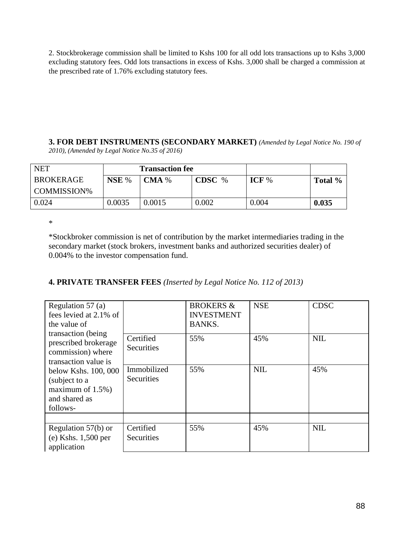2. Stockbrokerage commission shall be limited to Kshs 100 for all odd lots transactions up to Kshs 3,000 excluding statutory fees. Odd lots transactions in excess of Kshs. 3,000 shall be charged a commission at the prescribed rate of 1.76% excluding statutory fees.

**3. FOR DEBT INSTRUMENTS (SECONDARY MARKET)** *(Amended by Legal Notice No. 190 of 2010), (Amended by Legal Notice No.35 of 2016)*

| <b>NET</b>         |        | <b>Transaction fee</b> |        |         |         |
|--------------------|--------|------------------------|--------|---------|---------|
| <b>BROKERAGE</b>   | NSE %  | CMA%                   | CDSC % | ICF $%$ | Total % |
| <b>COMMISSION%</b> |        |                        |        |         |         |
| 0.024              | 0.0035 | 0.0015                 | 0.002  | 0.004   | 0.035   |

\*

\*Stockbroker commission is net of contribution by the market intermediaries trading in the secondary market (stock brokers, investment banks and authorized securities dealer) of 0.004% to the investor compensation fund.

## **4. PRIVATE TRANSFER FEES** *(Inserted by Legal Notice No. 112 of 2013)*

| Regulation $57$ (a)<br>fees levied at 2.1% of<br>the value of<br>transaction (being)<br>prescribed brokerage<br>commission) where<br>transaction value is<br>below Kshs. 100, 000<br>(subject to a<br>maximum of $1.5\%$ )<br>and shared as<br>follows- |                                | <b>BROKERS &amp;</b><br><b>INVESTMENT</b><br><b>BANKS.</b> | <b>NSE</b> | <b>CDSC</b> |
|---------------------------------------------------------------------------------------------------------------------------------------------------------------------------------------------------------------------------------------------------------|--------------------------------|------------------------------------------------------------|------------|-------------|
|                                                                                                                                                                                                                                                         | Certified<br><b>Securities</b> | 55%                                                        | 45%        | <b>NIL</b>  |
|                                                                                                                                                                                                                                                         | Immobilized<br>Securities      | 55%                                                        | <b>NIL</b> | 45%         |
|                                                                                                                                                                                                                                                         |                                |                                                            |            |             |
| Regulation $57(b)$ or<br>$(e)$ Kshs. 1,500 per<br>application                                                                                                                                                                                           | Certified<br>Securities        | 55%                                                        | 45%        | <b>NIL</b>  |